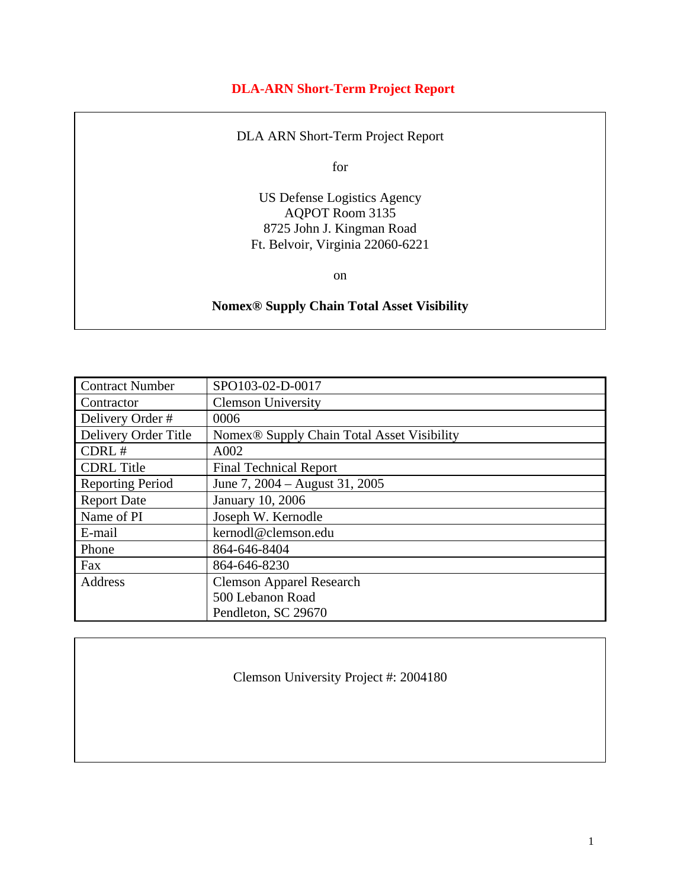#### **DLA-ARN Short-Term Project Report**

DLA ARN Short-Term Project Report

for

US Defense Logistics Agency AQPOT Room 3135 8725 John J. Kingman Road Ft. Belvoir, Virginia 22060-6221

on

#### **Nomex® Supply Chain Total Asset Visibility**

| <b>Contract Number</b>  | SPO103-02-D-0017                           |
|-------------------------|--------------------------------------------|
| Contractor              | <b>Clemson University</b>                  |
| Delivery Order #        | 0006                                       |
| Delivery Order Title    | Nomex® Supply Chain Total Asset Visibility |
| CDRL #                  | A002                                       |
| <b>CDRL</b> Title       | <b>Final Technical Report</b>              |
| <b>Reporting Period</b> | June 7, 2004 – August 31, 2005             |
| <b>Report Date</b>      | January 10, 2006                           |
| Name of PI              | Joseph W. Kernodle                         |
| E-mail                  | kernodl@clemson.edu                        |
| Phone                   | 864-646-8404                               |
| Fax                     | 864-646-8230                               |
| Address                 | <b>Clemson Apparel Research</b>            |
|                         | 500 Lebanon Road                           |
|                         | Pendleton, SC 29670                        |

Clemson University Project #: 2004180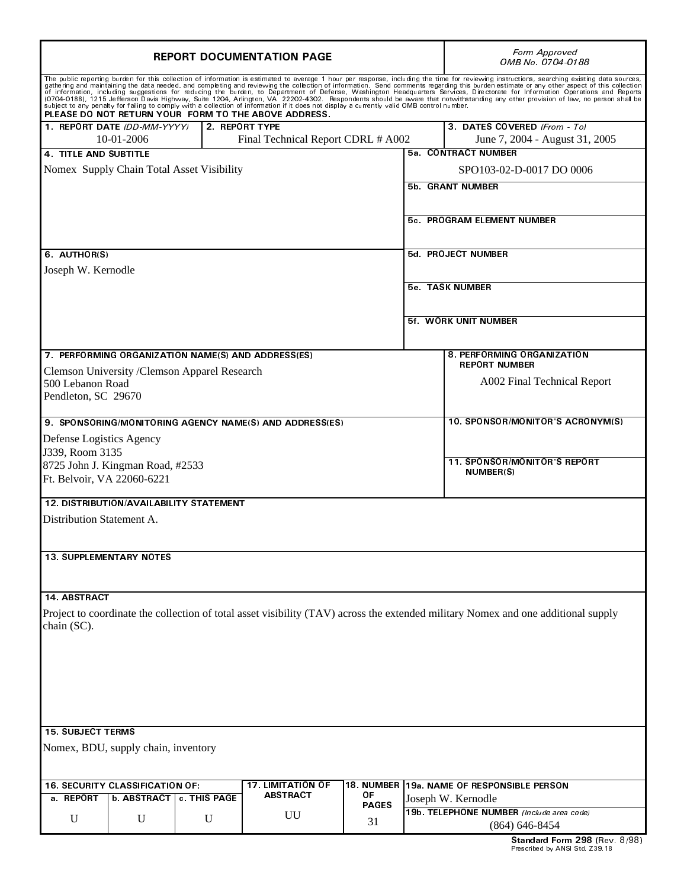|                                                    |                   | <b>REPORT DOCUMENTATION PAGE</b> | Form Approved<br>OMB No. 0704-0188                                                                                                                                                                 |              |                            |                                                                                                                                                                                                                                                                                                                                                                                                                                                                     |  |
|----------------------------------------------------|-------------------|----------------------------------|----------------------------------------------------------------------------------------------------------------------------------------------------------------------------------------------------|--------------|----------------------------|---------------------------------------------------------------------------------------------------------------------------------------------------------------------------------------------------------------------------------------------------------------------------------------------------------------------------------------------------------------------------------------------------------------------------------------------------------------------|--|
|                                                    |                   |                                  | subject to any penalty for failing to comply with a collection of information if it does not display a currently valid OMB control number.<br>PLEASE DO NOT RETURN YOUR FORM TO THE ABOVE ADDRESS. |              |                            | The public reporting burden for this collection of information is estimated to average 1 hour per response, including the time for reviewing instructions, searching existing data sources, gathering and maintaining the data<br>of information, including suggestions for reducing the burden, to Department of Defense, Washington Headquarters Services, Directorate for Information Operations and Reports<br>(0704-0188), 1215 Jefferson Davis Highway, Suite |  |
| 1 REPORT DATE (DD-MM-YYYY)                         |                   |                                  | 2. REPORT TYPE                                                                                                                                                                                     |              |                            | 3. DATES COVERED (From - To)                                                                                                                                                                                                                                                                                                                                                                                                                                        |  |
|                                                    | 10-01-2006        |                                  | Final Technical Report CDRL # A002                                                                                                                                                                 |              |                            | June 7, 2004 - August 31, 2005                                                                                                                                                                                                                                                                                                                                                                                                                                      |  |
| 4 TITLE AND SUBTITLE                               |                   |                                  |                                                                                                                                                                                                    |              |                            | 5a CONTRACT NUMBER                                                                                                                                                                                                                                                                                                                                                                                                                                                  |  |
| Nomex Supply Chain Total Asset Visibility          |                   |                                  |                                                                                                                                                                                                    |              |                            | SPO103-02-D-0017 DO 0006                                                                                                                                                                                                                                                                                                                                                                                                                                            |  |
|                                                    |                   |                                  | 5b. GRANT NUMBER                                                                                                                                                                                   |              |                            |                                                                                                                                                                                                                                                                                                                                                                                                                                                                     |  |
|                                                    |                   |                                  |                                                                                                                                                                                                    |              |                            |                                                                                                                                                                                                                                                                                                                                                                                                                                                                     |  |
|                                                    |                   |                                  |                                                                                                                                                                                                    |              | 5c. PROGRAM ELEMENT NUMBER |                                                                                                                                                                                                                                                                                                                                                                                                                                                                     |  |
| 6 AUTHOR(S)                                        |                   |                                  |                                                                                                                                                                                                    |              |                            | 5d PROJECT NUMBER                                                                                                                                                                                                                                                                                                                                                                                                                                                   |  |
| Joseph W. Kernodle                                 |                   |                                  |                                                                                                                                                                                                    |              |                            |                                                                                                                                                                                                                                                                                                                                                                                                                                                                     |  |
|                                                    |                   |                                  |                                                                                                                                                                                                    |              |                            |                                                                                                                                                                                                                                                                                                                                                                                                                                                                     |  |
|                                                    |                   |                                  |                                                                                                                                                                                                    |              |                            | <b>5e</b> TASK NUMBER                                                                                                                                                                                                                                                                                                                                                                                                                                               |  |
|                                                    |                   |                                  |                                                                                                                                                                                                    |              |                            | 5f WORK UNIT NUMBER                                                                                                                                                                                                                                                                                                                                                                                                                                                 |  |
|                                                    |                   |                                  |                                                                                                                                                                                                    |              |                            |                                                                                                                                                                                                                                                                                                                                                                                                                                                                     |  |
| 7. PERFORMING ORGANIZATION NAME(S) AND ADDRESS(ES) |                   |                                  |                                                                                                                                                                                                    |              |                            | 8. PERFORMING ORGANIZATION                                                                                                                                                                                                                                                                                                                                                                                                                                          |  |
| Clemson University /Clemson Apparel Research       |                   |                                  |                                                                                                                                                                                                    |              |                            | <b>REPORT NUMBER</b>                                                                                                                                                                                                                                                                                                                                                                                                                                                |  |
| 500 Lebanon Road                                   |                   |                                  |                                                                                                                                                                                                    |              |                            | A002 Final Technical Report                                                                                                                                                                                                                                                                                                                                                                                                                                         |  |
| Pendleton, SC 29670                                |                   |                                  |                                                                                                                                                                                                    |              |                            |                                                                                                                                                                                                                                                                                                                                                                                                                                                                     |  |
|                                                    |                   |                                  | 9. SPONSORING/MONITORING AGENCY NAME(S) AND ADDRESS(ES)                                                                                                                                            |              |                            | 10. SPONSOR/MONITOR'S ACRONYM(S)                                                                                                                                                                                                                                                                                                                                                                                                                                    |  |
| Defense Logistics Agency                           |                   |                                  |                                                                                                                                                                                                    |              |                            |                                                                                                                                                                                                                                                                                                                                                                                                                                                                     |  |
| J339, Room 3135                                    |                   |                                  |                                                                                                                                                                                                    |              |                            |                                                                                                                                                                                                                                                                                                                                                                                                                                                                     |  |
| 8725 John J. Kingman Road, #2533                   |                   |                                  |                                                                                                                                                                                                    |              |                            | <b>11. SPONSOR/MONITOR'S REPORT</b>                                                                                                                                                                                                                                                                                                                                                                                                                                 |  |
| Ft. Belvoir, VA 22060-6221                         |                   |                                  |                                                                                                                                                                                                    |              |                            | <b>NUMBER(S)</b>                                                                                                                                                                                                                                                                                                                                                                                                                                                    |  |
| 12. DISTRIBUTION/AVAILABILITY STATEMENT            |                   |                                  |                                                                                                                                                                                                    |              |                            |                                                                                                                                                                                                                                                                                                                                                                                                                                                                     |  |
| Distribution Statement A.                          |                   |                                  |                                                                                                                                                                                                    |              |                            |                                                                                                                                                                                                                                                                                                                                                                                                                                                                     |  |
|                                                    |                   |                                  |                                                                                                                                                                                                    |              |                            |                                                                                                                                                                                                                                                                                                                                                                                                                                                                     |  |
|                                                    |                   |                                  |                                                                                                                                                                                                    |              |                            |                                                                                                                                                                                                                                                                                                                                                                                                                                                                     |  |
| <b>13. SUPPLEMENTARY NOTES</b>                     |                   |                                  |                                                                                                                                                                                                    |              |                            |                                                                                                                                                                                                                                                                                                                                                                                                                                                                     |  |
|                                                    |                   |                                  |                                                                                                                                                                                                    |              |                            |                                                                                                                                                                                                                                                                                                                                                                                                                                                                     |  |
| 14 ABSTRACT                                        |                   |                                  |                                                                                                                                                                                                    |              |                            |                                                                                                                                                                                                                                                                                                                                                                                                                                                                     |  |
|                                                    |                   |                                  |                                                                                                                                                                                                    |              |                            | Project to coordinate the collection of total asset visibility (TAV) across the extended military Nomex and one additional supply                                                                                                                                                                                                                                                                                                                                   |  |
| chain (SC).                                        |                   |                                  |                                                                                                                                                                                                    |              |                            |                                                                                                                                                                                                                                                                                                                                                                                                                                                                     |  |
|                                                    |                   |                                  |                                                                                                                                                                                                    |              |                            |                                                                                                                                                                                                                                                                                                                                                                                                                                                                     |  |
|                                                    |                   |                                  |                                                                                                                                                                                                    |              |                            |                                                                                                                                                                                                                                                                                                                                                                                                                                                                     |  |
|                                                    |                   |                                  |                                                                                                                                                                                                    |              |                            |                                                                                                                                                                                                                                                                                                                                                                                                                                                                     |  |
|                                                    |                   |                                  |                                                                                                                                                                                                    |              |                            |                                                                                                                                                                                                                                                                                                                                                                                                                                                                     |  |
|                                                    |                   |                                  |                                                                                                                                                                                                    |              |                            |                                                                                                                                                                                                                                                                                                                                                                                                                                                                     |  |
|                                                    |                   |                                  |                                                                                                                                                                                                    |              |                            |                                                                                                                                                                                                                                                                                                                                                                                                                                                                     |  |
| <b>15. SUBJECT TERMS</b>                           |                   |                                  |                                                                                                                                                                                                    |              |                            |                                                                                                                                                                                                                                                                                                                                                                                                                                                                     |  |
| Nomex, BDU, supply chain, inventory                |                   |                                  |                                                                                                                                                                                                    |              |                            |                                                                                                                                                                                                                                                                                                                                                                                                                                                                     |  |
|                                                    |                   |                                  |                                                                                                                                                                                                    |              |                            |                                                                                                                                                                                                                                                                                                                                                                                                                                                                     |  |
| <b>16. SECURITY CLASSIFICATION OF:</b>             |                   |                                  | <b>17. LIMITATION OF</b><br><b>ABSTRACT</b>                                                                                                                                                        | ΟF           |                            | 18. NUMBER 19a. NAME OF RESPONSIBLE PERSON                                                                                                                                                                                                                                                                                                                                                                                                                          |  |
| a REPORT                                           | <b>b ABSTRACT</b> | c. THIS PAGE                     |                                                                                                                                                                                                    | <b>PAGES</b> |                            | Joseph W. Kernodle                                                                                                                                                                                                                                                                                                                                                                                                                                                  |  |
| U                                                  | U                 | U                                | UU                                                                                                                                                                                                 | 31           |                            | 19b. TELEPHONE NUMBER (Include area code)<br>$(864) 646 - 8454$                                                                                                                                                                                                                                                                                                                                                                                                     |  |
|                                                    |                   |                                  |                                                                                                                                                                                                    |              |                            | Standard Form 298 (Rev. 8/98)                                                                                                                                                                                                                                                                                                                                                                                                                                       |  |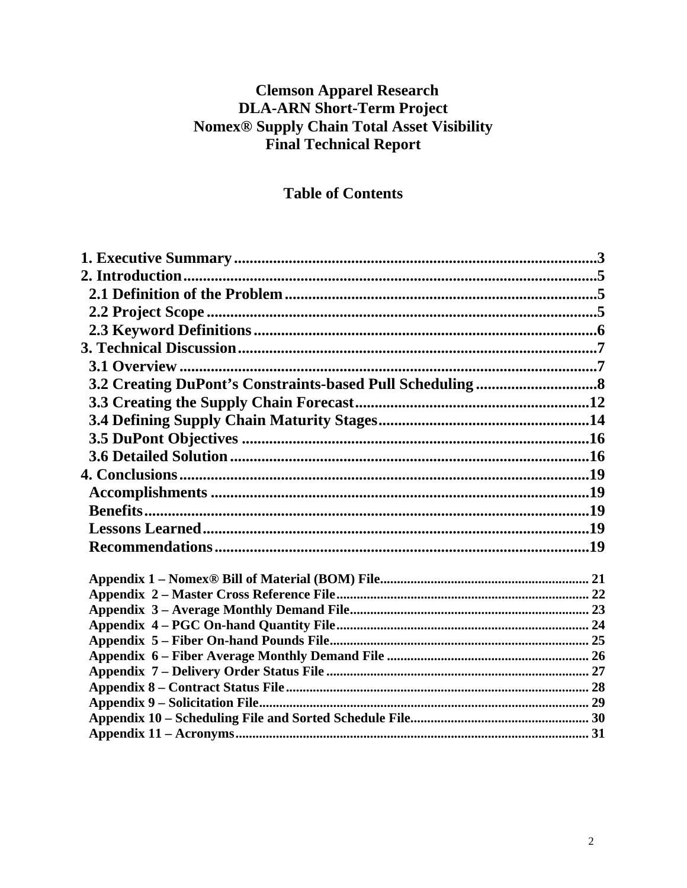## **Clemson Apparel Research DLA-ARN Short-Term Project Nomex<sup>®</sup> Supply Chain Total Asset Visibility Final Technical Report**

### **Table of Contents**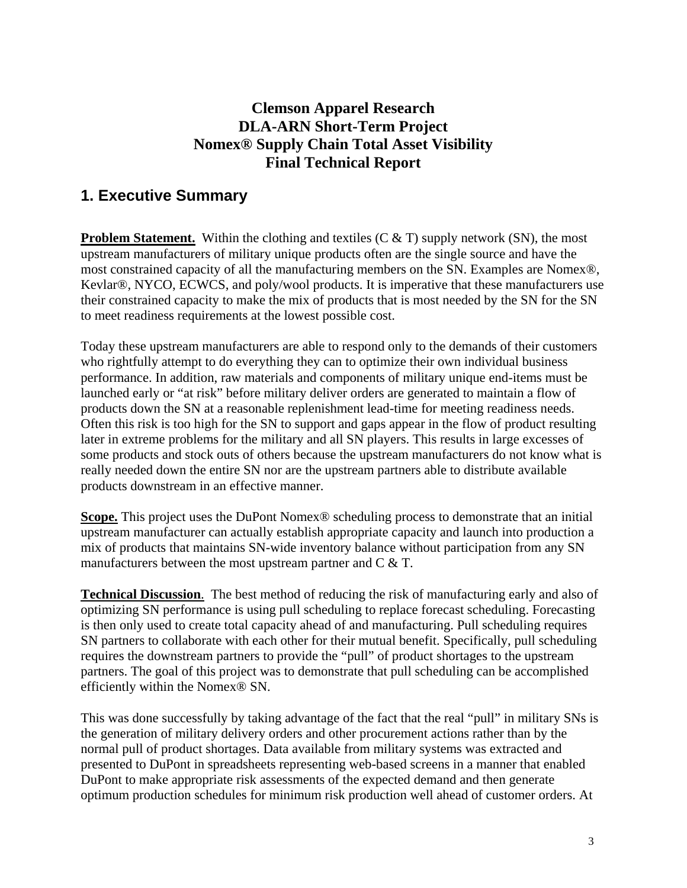### **Clemson Apparel Research DLA-ARN Short-Term Project Nomex® Supply Chain Total Asset Visibility Final Technical Report**

### **1. Executive Summary**

**Problem Statement.** Within the clothing and textiles (C & T) supply network (SN), the most upstream manufacturers of military unique products often are the single source and have the most constrained capacity of all the manufacturing members on the SN. Examples are Nomex®, Kevlar®, NYCO, ECWCS, and poly/wool products. It is imperative that these manufacturers use their constrained capacity to make the mix of products that is most needed by the SN for the SN to meet readiness requirements at the lowest possible cost.

Today these upstream manufacturers are able to respond only to the demands of their customers who rightfully attempt to do everything they can to optimize their own individual business performance. In addition, raw materials and components of military unique end-items must be launched early or "at risk" before military deliver orders are generated to maintain a flow of products down the SN at a reasonable replenishment lead-time for meeting readiness needs. Often this risk is too high for the SN to support and gaps appear in the flow of product resulting later in extreme problems for the military and all SN players. This results in large excesses of some products and stock outs of others because the upstream manufacturers do not know what is really needed down the entire SN nor are the upstream partners able to distribute available products downstream in an effective manner.

**Scope.** This project uses the DuPont Nomex® scheduling process to demonstrate that an initial upstream manufacturer can actually establish appropriate capacity and launch into production a mix of products that maintains SN-wide inventory balance without participation from any SN manufacturers between the most upstream partner and C & T.

**Technical Discussion**. The best method of reducing the risk of manufacturing early and also of optimizing SN performance is using pull scheduling to replace forecast scheduling. Forecasting is then only used to create total capacity ahead of and manufacturing. Pull scheduling requires SN partners to collaborate with each other for their mutual benefit. Specifically, pull scheduling requires the downstream partners to provide the "pull" of product shortages to the upstream partners. The goal of this project was to demonstrate that pull scheduling can be accomplished efficiently within the Nomex® SN.

This was done successfully by taking advantage of the fact that the real "pull" in military SNs is the generation of military delivery orders and other procurement actions rather than by the normal pull of product shortages. Data available from military systems was extracted and presented to DuPont in spreadsheets representing web-based screens in a manner that enabled DuPont to make appropriate risk assessments of the expected demand and then generate optimum production schedules for minimum risk production well ahead of customer orders. At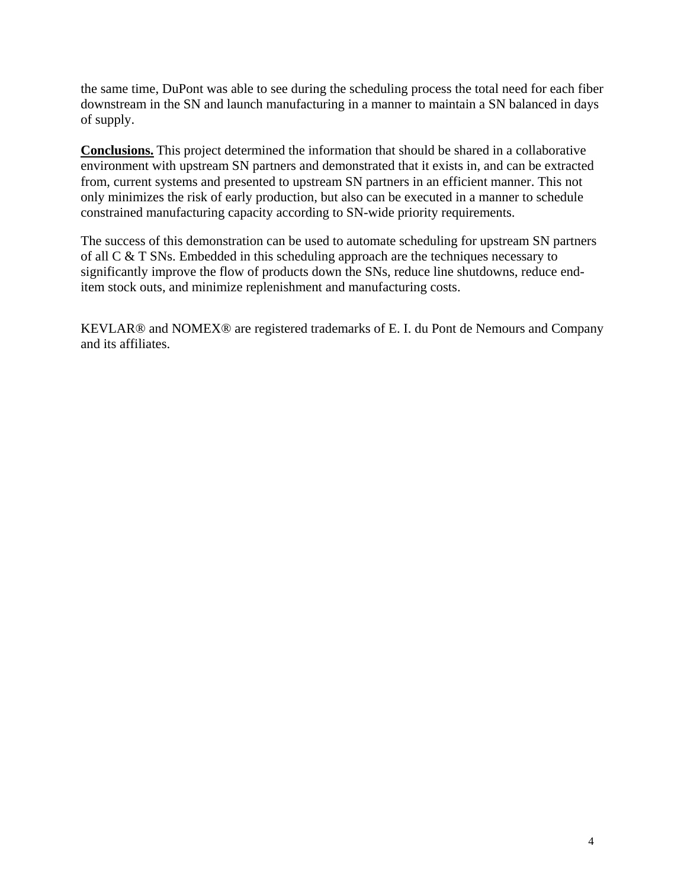the same time, DuPont was able to see during the scheduling process the total need for each fiber downstream in the SN and launch manufacturing in a manner to maintain a SN balanced in days of supply.

**Conclusions.** This project determined the information that should be shared in a collaborative environment with upstream SN partners and demonstrated that it exists in, and can be extracted from, current systems and presented to upstream SN partners in an efficient manner. This not only minimizes the risk of early production, but also can be executed in a manner to schedule constrained manufacturing capacity according to SN-wide priority requirements.

The success of this demonstration can be used to automate scheduling for upstream SN partners of all C & T SNs. Embedded in this scheduling approach are the techniques necessary to significantly improve the flow of products down the SNs, reduce line shutdowns, reduce enditem stock outs, and minimize replenishment and manufacturing costs.

KEVLAR® and NOMEX® are registered trademarks of E. I. du Pont de Nemours and Company and its affiliates.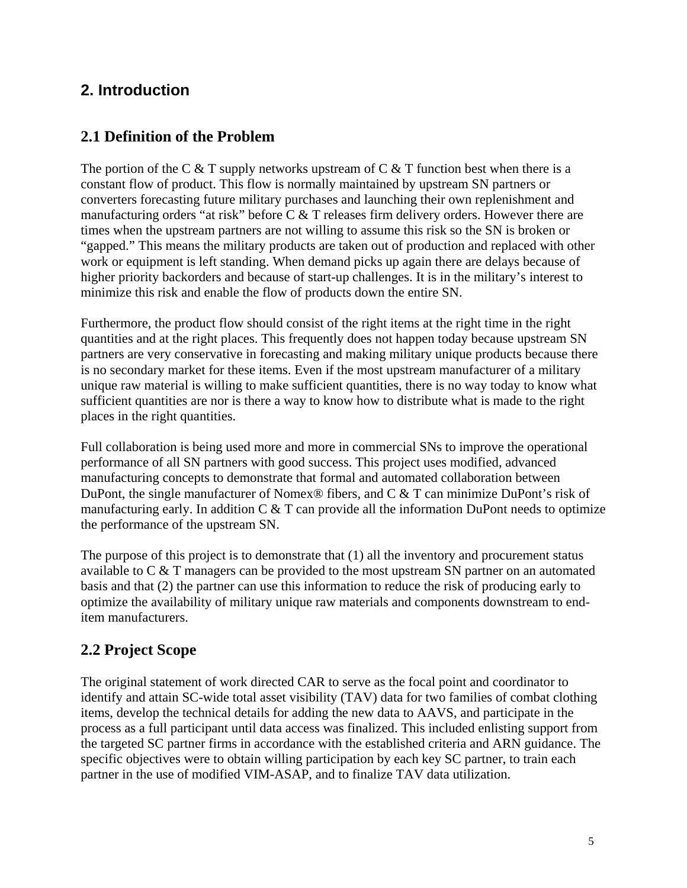## **2. Introduction**

### **2.1 Definition of the Problem**

The portion of the C & T supply networks upstream of C & T function best when there is a constant flow of product. This flow is normally maintained by upstream SN partners or converters forecasting future military purchases and launching their own replenishment and manufacturing orders "at risk" before C & T releases firm delivery orders. However there are times when the upstream partners are not willing to assume this risk so the SN is broken or "gapped." This means the military products are taken out of production and replaced with other work or equipment is left standing. When demand picks up again there are delays because of higher priority backorders and because of start-up challenges. It is in the military's interest to minimize this risk and enable the flow of products down the entire SN.

Furthermore, the product flow should consist of the right items at the right time in the right quantities and at the right places. This frequently does not happen today because upstream SN partners are very conservative in forecasting and making military unique products because there is no secondary market for these items. Even if the most upstream manufacturer of a military unique raw material is willing to make sufficient quantities, there is no way today to know what sufficient quantities are nor is there a way to know how to distribute what is made to the right places in the right quantities.

Full collaboration is being used more and more in commercial SNs to improve the operational performance of all SN partners with good success. This project uses modified, advanced manufacturing concepts to demonstrate that formal and automated collaboration between DuPont, the single manufacturer of Nomex® fibers, and C & T can minimize DuPont's risk of manufacturing early. In addition  $C \& T$  can provide all the information DuPont needs to optimize the performance of the upstream SN.

The purpose of this project is to demonstrate that (1) all the inventory and procurement status available to C & T managers can be provided to the most upstream SN partner on an automated basis and that (2) the partner can use this information to reduce the risk of producing early to optimize the availability of military unique raw materials and components downstream to enditem manufacturers.

## **2.2 Project Scope**

The original statement of work directed CAR to serve as the focal point and coordinator to identify and attain SC-wide total asset visibility (TAV) data for two families of combat clothing items, develop the technical details for adding the new data to AAVS, and participate in the process as a full participant until data access was finalized. This included enlisting support from the targeted SC partner firms in accordance with the established criteria and ARN guidance. The specific objectives were to obtain willing participation by each key SC partner, to train each partner in the use of modified VIM-ASAP, and to finalize TAV data utilization.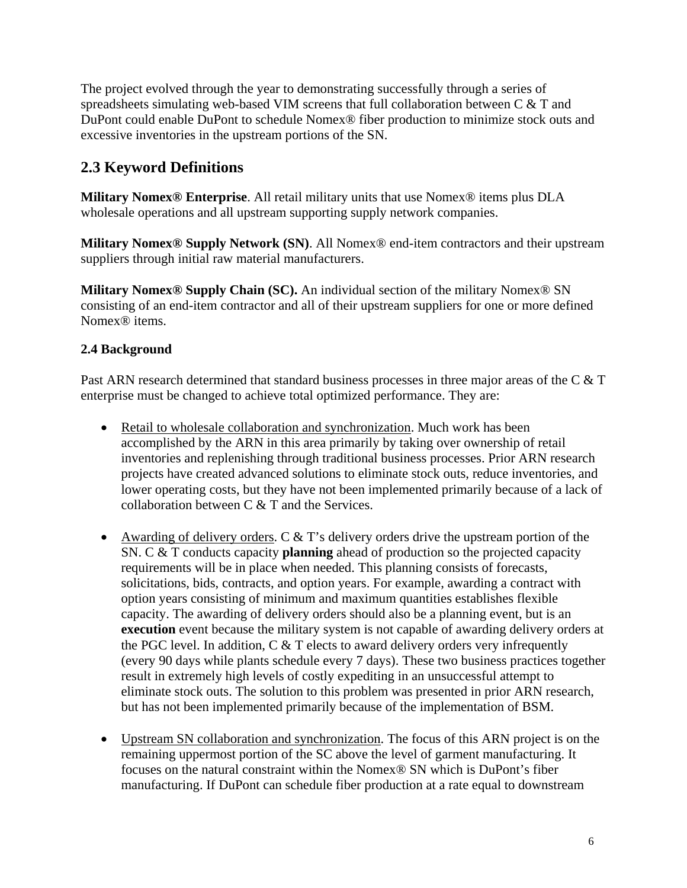The project evolved through the year to demonstrating successfully through a series of spreadsheets simulating web-based VIM screens that full collaboration between C & T and DuPont could enable DuPont to schedule Nomex® fiber production to minimize stock outs and excessive inventories in the upstream portions of the SN.

## **2.3 Keyword Definitions**

**Military Nomex® Enterprise**. All retail military units that use Nomex® items plus DLA wholesale operations and all upstream supporting supply network companies.

**Military Nomex® Supply Network (SN)**. All Nomex® end-item contractors and their upstream suppliers through initial raw material manufacturers.

**Military Nomex® Supply Chain (SC).** An individual section of the military Nomex® SN consisting of an end-item contractor and all of their upstream suppliers for one or more defined Nomex® items.

#### **2.4 Background**

Past ARN research determined that standard business processes in three major areas of the C & T enterprise must be changed to achieve total optimized performance. They are:

- Retail to wholesale collaboration and synchronization. Much work has been accomplished by the ARN in this area primarily by taking over ownership of retail inventories and replenishing through traditional business processes. Prior ARN research projects have created advanced solutions to eliminate stock outs, reduce inventories, and lower operating costs, but they have not been implemented primarily because of a lack of collaboration between C & T and the Services.
- Awarding of delivery orders. C  $&$  T's delivery orders drive the upstream portion of the SN. C & T conducts capacity **planning** ahead of production so the projected capacity requirements will be in place when needed. This planning consists of forecasts, solicitations, bids, contracts, and option years. For example, awarding a contract with option years consisting of minimum and maximum quantities establishes flexible capacity. The awarding of delivery orders should also be a planning event, but is an **execution** event because the military system is not capable of awarding delivery orders at the PGC level. In addition, C & T elects to award delivery orders very infrequently (every 90 days while plants schedule every 7 days). These two business practices together result in extremely high levels of costly expediting in an unsuccessful attempt to eliminate stock outs. The solution to this problem was presented in prior ARN research, but has not been implemented primarily because of the implementation of BSM.
- Upstream SN collaboration and synchronization. The focus of this ARN project is on the remaining uppermost portion of the SC above the level of garment manufacturing. It focuses on the natural constraint within the Nomex® SN which is DuPont's fiber manufacturing. If DuPont can schedule fiber production at a rate equal to downstream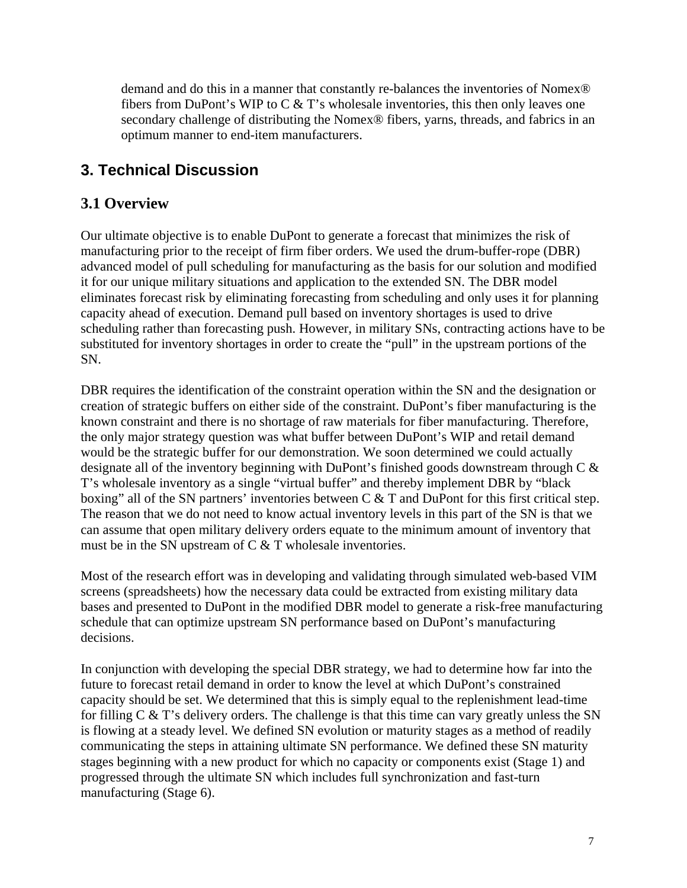demand and do this in a manner that constantly re-balances the inventories of Nomex® fibers from DuPont's WIP to  $C \& T$ 's wholesale inventories, this then only leaves one secondary challenge of distributing the Nomex® fibers, yarns, threads, and fabrics in an optimum manner to end-item manufacturers.

## **3. Technical Discussion**

### **3.1 Overview**

Our ultimate objective is to enable DuPont to generate a forecast that minimizes the risk of manufacturing prior to the receipt of firm fiber orders. We used the drum-buffer-rope (DBR) advanced model of pull scheduling for manufacturing as the basis for our solution and modified it for our unique military situations and application to the extended SN. The DBR model eliminates forecast risk by eliminating forecasting from scheduling and only uses it for planning capacity ahead of execution. Demand pull based on inventory shortages is used to drive scheduling rather than forecasting push. However, in military SNs, contracting actions have to be substituted for inventory shortages in order to create the "pull" in the upstream portions of the SN.

DBR requires the identification of the constraint operation within the SN and the designation or creation of strategic buffers on either side of the constraint. DuPont's fiber manufacturing is the known constraint and there is no shortage of raw materials for fiber manufacturing. Therefore, the only major strategy question was what buffer between DuPont's WIP and retail demand would be the strategic buffer for our demonstration. We soon determined we could actually designate all of the inventory beginning with DuPont's finished goods downstream through C & T's wholesale inventory as a single "virtual buffer" and thereby implement DBR by "black boxing" all of the SN partners' inventories between C & T and DuPont for this first critical step. The reason that we do not need to know actual inventory levels in this part of the SN is that we can assume that open military delivery orders equate to the minimum amount of inventory that must be in the SN upstream of C & T wholesale inventories.

Most of the research effort was in developing and validating through simulated web-based VIM screens (spreadsheets) how the necessary data could be extracted from existing military data bases and presented to DuPont in the modified DBR model to generate a risk-free manufacturing schedule that can optimize upstream SN performance based on DuPont's manufacturing decisions.

In conjunction with developing the special DBR strategy, we had to determine how far into the future to forecast retail demand in order to know the level at which DuPont's constrained capacity should be set. We determined that this is simply equal to the replenishment lead-time for filling  $C \& T$ 's delivery orders. The challenge is that this time can vary greatly unless the SN is flowing at a steady level. We defined SN evolution or maturity stages as a method of readily communicating the steps in attaining ultimate SN performance. We defined these SN maturity stages beginning with a new product for which no capacity or components exist (Stage 1) and progressed through the ultimate SN which includes full synchronization and fast-turn manufacturing (Stage 6).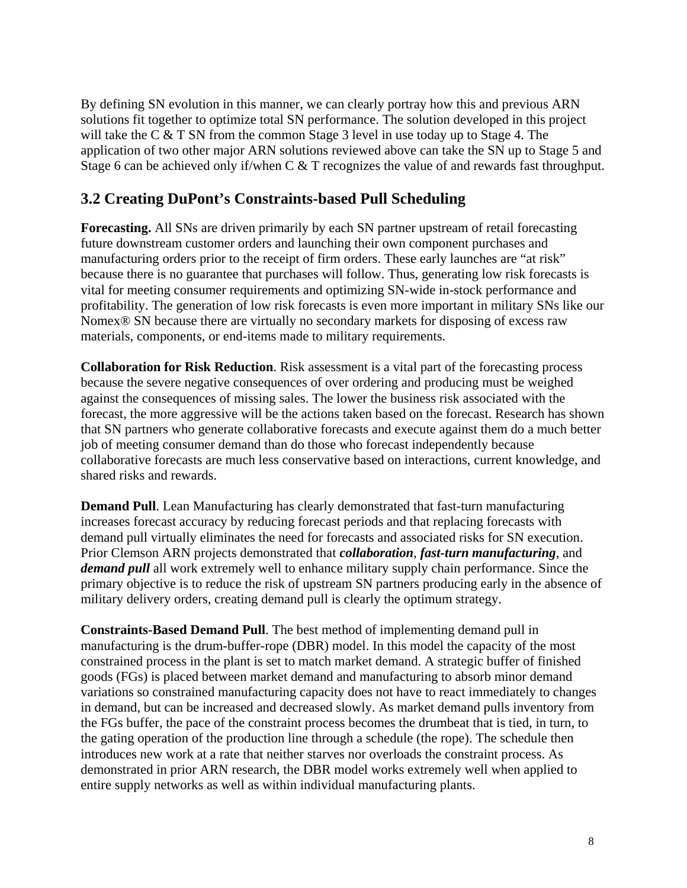By defining SN evolution in this manner, we can clearly portray how this and previous ARN solutions fit together to optimize total SN performance. The solution developed in this project will take the C & T SN from the common Stage 3 level in use today up to Stage 4. The application of two other major ARN solutions reviewed above can take the SN up to Stage 5 and Stage 6 can be achieved only if/when C & T recognizes the value of and rewards fast throughput.

#### **3.2 Creating DuPont's Constraints-based Pull Scheduling**

**Forecasting.** All SNs are driven primarily by each SN partner upstream of retail forecasting future downstream customer orders and launching their own component purchases and manufacturing orders prior to the receipt of firm orders. These early launches are "at risk" because there is no guarantee that purchases will follow. Thus, generating low risk forecasts is vital for meeting consumer requirements and optimizing SN-wide in-stock performance and profitability. The generation of low risk forecasts is even more important in military SNs like our Nomex® SN because there are virtually no secondary markets for disposing of excess raw materials, components, or end-items made to military requirements.

**Collaboration for Risk Reduction**. Risk assessment is a vital part of the forecasting process because the severe negative consequences of over ordering and producing must be weighed against the consequences of missing sales. The lower the business risk associated with the forecast, the more aggressive will be the actions taken based on the forecast. Research has shown that SN partners who generate collaborative forecasts and execute against them do a much better job of meeting consumer demand than do those who forecast independently because collaborative forecasts are much less conservative based on interactions, current knowledge, and shared risks and rewards.

**Demand Pull**. Lean Manufacturing has clearly demonstrated that fast-turn manufacturing increases forecast accuracy by reducing forecast periods and that replacing forecasts with demand pull virtually eliminates the need for forecasts and associated risks for SN execution. Prior Clemson ARN projects demonstrated that *collaboration*, *fast-turn manufacturing*, and *demand pull* all work extremely well to enhance military supply chain performance. Since the primary objective is to reduce the risk of upstream SN partners producing early in the absence of military delivery orders, creating demand pull is clearly the optimum strategy.

**Constraints-Based Demand Pull**. The best method of implementing demand pull in manufacturing is the drum-buffer-rope (DBR) model. In this model the capacity of the most constrained process in the plant is set to match market demand. A strategic buffer of finished goods (FGs) is placed between market demand and manufacturing to absorb minor demand variations so constrained manufacturing capacity does not have to react immediately to changes in demand, but can be increased and decreased slowly. As market demand pulls inventory from the FGs buffer, the pace of the constraint process becomes the drumbeat that is tied, in turn, to the gating operation of the production line through a schedule (the rope). The schedule then introduces new work at a rate that neither starves nor overloads the constraint process. As demonstrated in prior ARN research, the DBR model works extremely well when applied to entire supply networks as well as within individual manufacturing plants.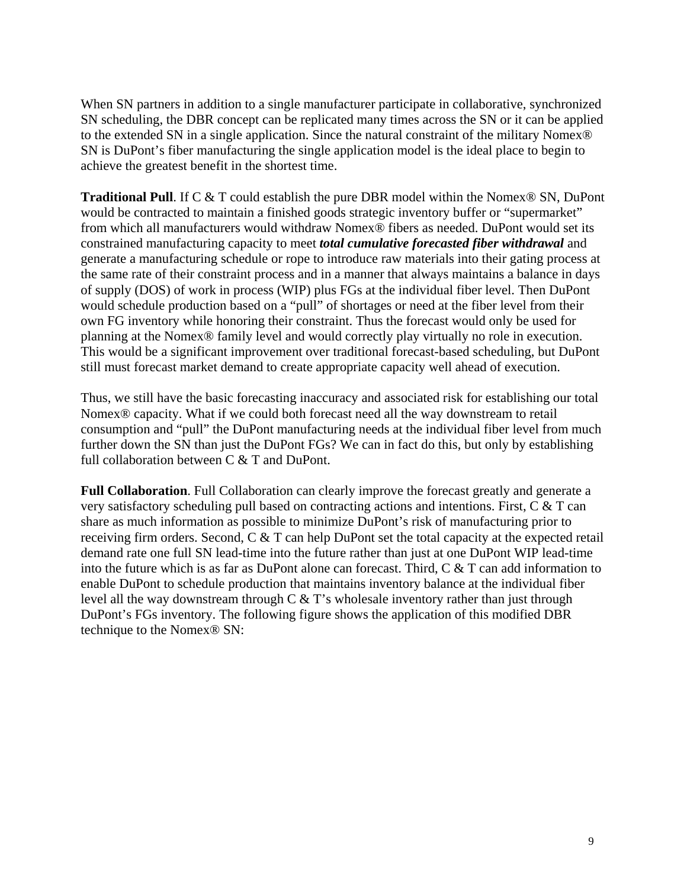When SN partners in addition to a single manufacturer participate in collaborative, synchronized SN scheduling, the DBR concept can be replicated many times across the SN or it can be applied to the extended SN in a single application. Since the natural constraint of the military Nomex® SN is DuPont's fiber manufacturing the single application model is the ideal place to begin to achieve the greatest benefit in the shortest time.

**Traditional Pull**. If C & T could establish the pure DBR model within the Nomex® SN, DuPont would be contracted to maintain a finished goods strategic inventory buffer or "supermarket" from which all manufacturers would withdraw Nomex® fibers as needed. DuPont would set its constrained manufacturing capacity to meet *total cumulative forecasted fiber withdrawal* and generate a manufacturing schedule or rope to introduce raw materials into their gating process at the same rate of their constraint process and in a manner that always maintains a balance in days of supply (DOS) of work in process (WIP) plus FGs at the individual fiber level. Then DuPont would schedule production based on a "pull" of shortages or need at the fiber level from their own FG inventory while honoring their constraint. Thus the forecast would only be used for planning at the Nomex® family level and would correctly play virtually no role in execution. This would be a significant improvement over traditional forecast-based scheduling, but DuPont still must forecast market demand to create appropriate capacity well ahead of execution.

Thus, we still have the basic forecasting inaccuracy and associated risk for establishing our total Nomex® capacity. What if we could both forecast need all the way downstream to retail consumption and "pull" the DuPont manufacturing needs at the individual fiber level from much further down the SN than just the DuPont FGs? We can in fact do this, but only by establishing full collaboration between C & T and DuPont.

**Full Collaboration**. Full Collaboration can clearly improve the forecast greatly and generate a very satisfactory scheduling pull based on contracting actions and intentions. First, C & T can share as much information as possible to minimize DuPont's risk of manufacturing prior to receiving firm orders. Second, C & T can help DuPont set the total capacity at the expected retail demand rate one full SN lead-time into the future rather than just at one DuPont WIP lead-time into the future which is as far as DuPont alone can forecast. Third, C & T can add information to enable DuPont to schedule production that maintains inventory balance at the individual fiber level all the way downstream through C & T's wholesale inventory rather than just through DuPont's FGs inventory. The following figure shows the application of this modified DBR technique to the Nomex® SN: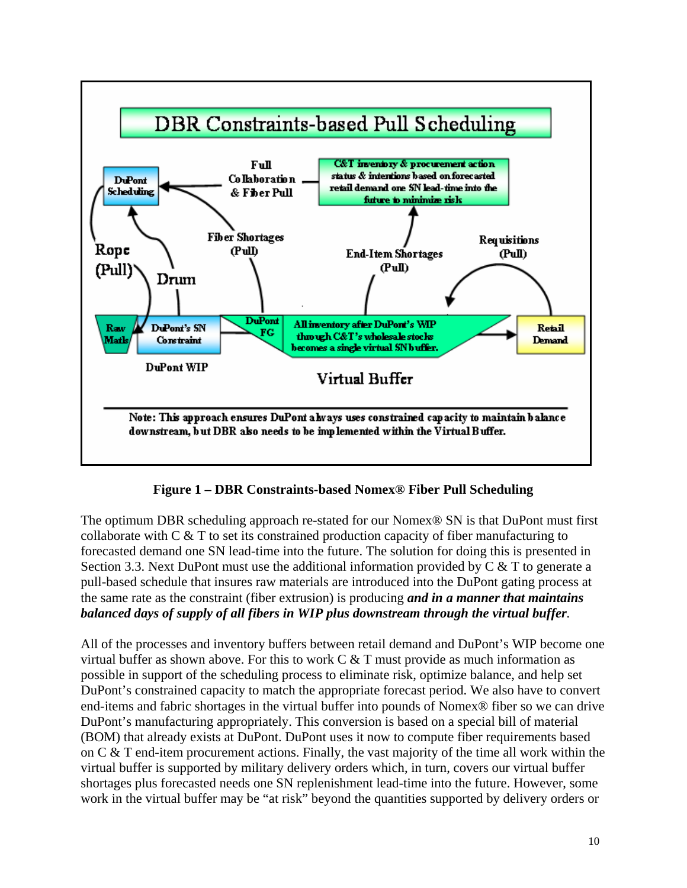

**Figure 1 – DBR Constraints-based Nomex® Fiber Pull Scheduling** 

The optimum DBR scheduling approach re-stated for our Nomex® SN is that DuPont must first collaborate with C & T to set its constrained production capacity of fiber manufacturing to forecasted demand one SN lead-time into the future. The solution for doing this is presented in Section 3.3. Next DuPont must use the additional information provided by  $C \& T$  to generate a pull-based schedule that insures raw materials are introduced into the DuPont gating process at the same rate as the constraint (fiber extrusion) is producing *and in a manner that maintains balanced days of supply of all fibers in WIP plus downstream through the virtual buffer.*

All of the processes and inventory buffers between retail demand and DuPont's WIP become one virtual buffer as shown above. For this to work  $C & T$  must provide as much information as possible in support of the scheduling process to eliminate risk, optimize balance, and help set DuPont's constrained capacity to match the appropriate forecast period. We also have to convert end-items and fabric shortages in the virtual buffer into pounds of Nomex® fiber so we can drive DuPont's manufacturing appropriately. This conversion is based on a special bill of material (BOM) that already exists at DuPont. DuPont uses it now to compute fiber requirements based on C & T end-item procurement actions. Finally, the vast majority of the time all work within the virtual buffer is supported by military delivery orders which, in turn, covers our virtual buffer shortages plus forecasted needs one SN replenishment lead-time into the future. However, some work in the virtual buffer may be "at risk" beyond the quantities supported by delivery orders or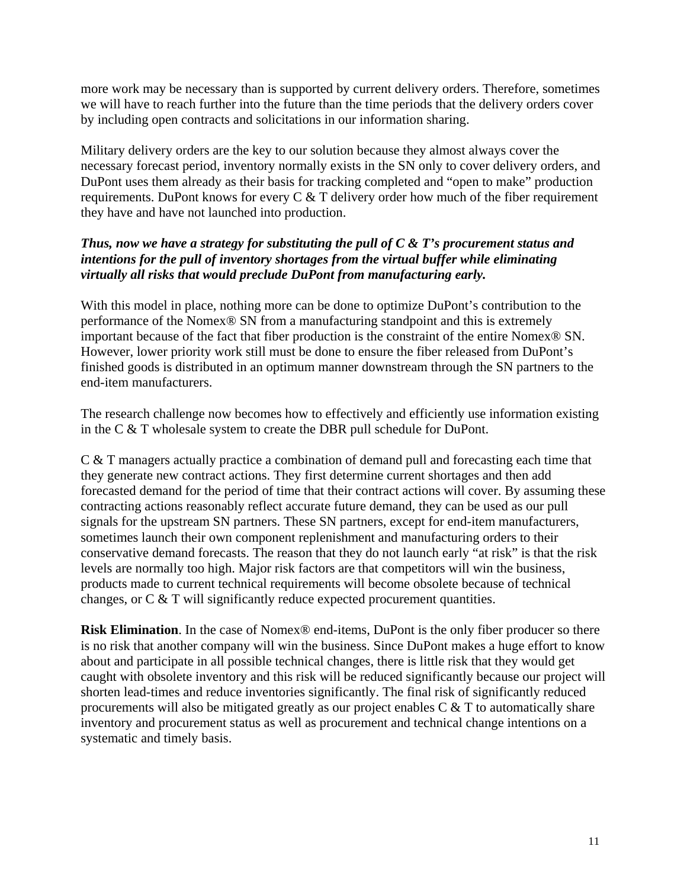more work may be necessary than is supported by current delivery orders. Therefore, sometimes we will have to reach further into the future than the time periods that the delivery orders cover by including open contracts and solicitations in our information sharing.

Military delivery orders are the key to our solution because they almost always cover the necessary forecast period, inventory normally exists in the SN only to cover delivery orders, and DuPont uses them already as their basis for tracking completed and "open to make" production requirements. DuPont knows for every C & T delivery order how much of the fiber requirement they have and have not launched into production.

#### *Thus, now we have a strategy for substituting the pull of C & T's procurement status and intentions for the pull of inventory shortages from the virtual buffer while eliminating virtually all risks that would preclude DuPont from manufacturing early.*

With this model in place, nothing more can be done to optimize DuPont's contribution to the performance of the Nomex® SN from a manufacturing standpoint and this is extremely important because of the fact that fiber production is the constraint of the entire Nomex® SN. However, lower priority work still must be done to ensure the fiber released from DuPont's finished goods is distributed in an optimum manner downstream through the SN partners to the end-item manufacturers.

The research challenge now becomes how to effectively and efficiently use information existing in the C & T wholesale system to create the DBR pull schedule for DuPont.

C & T managers actually practice a combination of demand pull and forecasting each time that they generate new contract actions. They first determine current shortages and then add forecasted demand for the period of time that their contract actions will cover. By assuming these contracting actions reasonably reflect accurate future demand, they can be used as our pull signals for the upstream SN partners. These SN partners, except for end-item manufacturers, sometimes launch their own component replenishment and manufacturing orders to their conservative demand forecasts. The reason that they do not launch early "at risk" is that the risk levels are normally too high. Major risk factors are that competitors will win the business, products made to current technical requirements will become obsolete because of technical changes, or C & T will significantly reduce expected procurement quantities.

**Risk Elimination**. In the case of Nomex<sup>®</sup> end-items, DuPont is the only fiber producer so there is no risk that another company will win the business. Since DuPont makes a huge effort to know about and participate in all possible technical changes, there is little risk that they would get caught with obsolete inventory and this risk will be reduced significantly because our project will shorten lead-times and reduce inventories significantly. The final risk of significantly reduced procurements will also be mitigated greatly as our project enables  $C \& T$  to automatically share inventory and procurement status as well as procurement and technical change intentions on a systematic and timely basis.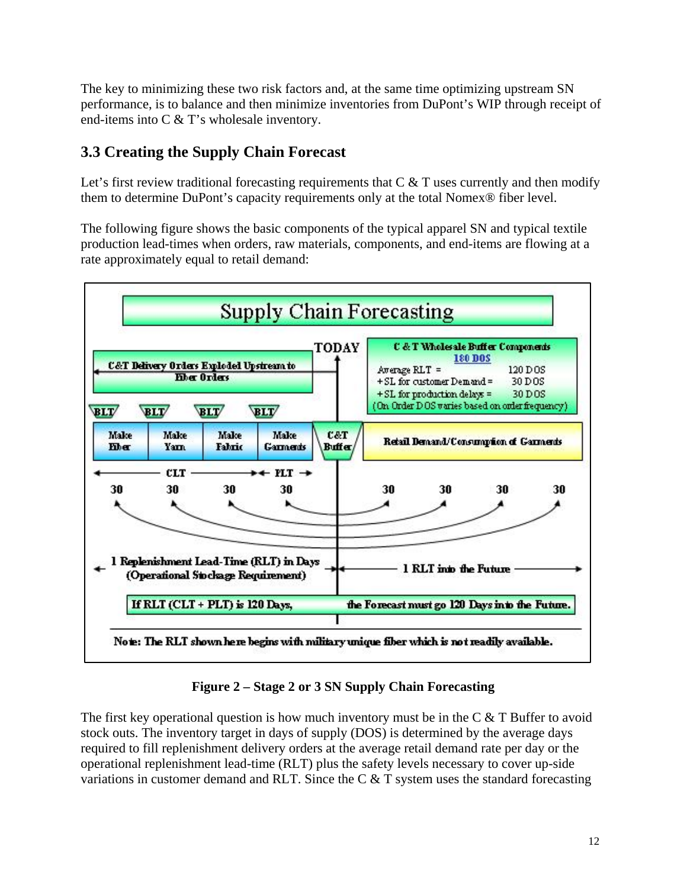The key to minimizing these two risk factors and, at the same time optimizing upstream SN performance, is to balance and then minimize inventories from DuPont's WIP through receipt of end-items into C & T's wholesale inventory.

## **3.3 Creating the Supply Chain Forecast**

Let's first review traditional forecasting requirements that  $C \& T$  uses currently and then modify them to determine DuPont's capacity requirements only at the total Nomex® fiber level.

The following figure shows the basic components of the typical apparel SN and typical textile production lead-times when orders, raw materials, components, and end-items are flowing at a rate approximately equal to retail demand:



**Figure 2 – Stage 2 or 3 SN Supply Chain Forecasting** 

The first key operational question is how much inventory must be in the  $C \& T$  Buffer to avoid stock outs. The inventory target in days of supply (DOS) is determined by the average days required to fill replenishment delivery orders at the average retail demand rate per day or the operational replenishment lead-time (RLT) plus the safety levels necessary to cover up-side variations in customer demand and RLT. Since the C & T system uses the standard forecasting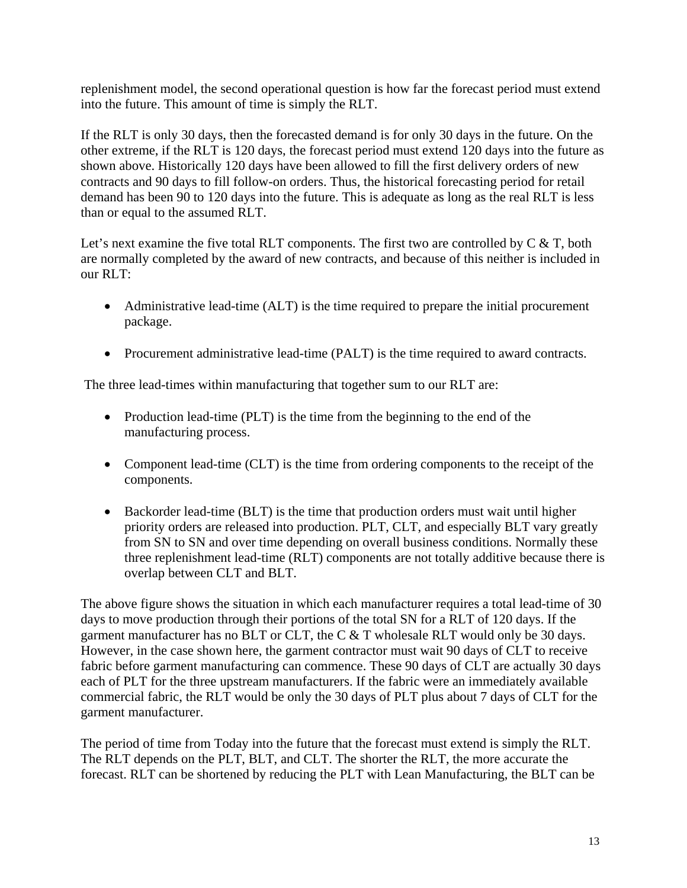replenishment model, the second operational question is how far the forecast period must extend into the future. This amount of time is simply the RLT.

If the RLT is only 30 days, then the forecasted demand is for only 30 days in the future. On the other extreme, if the RLT is 120 days, the forecast period must extend 120 days into the future as shown above. Historically 120 days have been allowed to fill the first delivery orders of new contracts and 90 days to fill follow-on orders. Thus, the historical forecasting period for retail demand has been 90 to 120 days into the future. This is adequate as long as the real RLT is less than or equal to the assumed RLT.

Let's next examine the five total RLT components. The first two are controlled by  $C \& T$ , both are normally completed by the award of new contracts, and because of this neither is included in our RLT:

- Administrative lead-time (ALT) is the time required to prepare the initial procurement package.
- Procurement administrative lead-time (PALT) is the time required to award contracts.

The three lead-times within manufacturing that together sum to our RLT are:

- Production lead-time (PLT) is the time from the beginning to the end of the manufacturing process.
- Component lead-time (CLT) is the time from ordering components to the receipt of the components.
- Backorder lead-time (BLT) is the time that production orders must wait until higher priority orders are released into production. PLT, CLT, and especially BLT vary greatly from SN to SN and over time depending on overall business conditions. Normally these three replenishment lead-time (RLT) components are not totally additive because there is overlap between CLT and BLT.

The above figure shows the situation in which each manufacturer requires a total lead-time of 30 days to move production through their portions of the total SN for a RLT of 120 days. If the garment manufacturer has no BLT or CLT, the C & T wholesale RLT would only be 30 days. However, in the case shown here, the garment contractor must wait 90 days of CLT to receive fabric before garment manufacturing can commence. These 90 days of CLT are actually 30 days each of PLT for the three upstream manufacturers. If the fabric were an immediately available commercial fabric, the RLT would be only the 30 days of PLT plus about 7 days of CLT for the garment manufacturer.

The period of time from Today into the future that the forecast must extend is simply the RLT. The RLT depends on the PLT, BLT, and CLT. The shorter the RLT, the more accurate the forecast. RLT can be shortened by reducing the PLT with Lean Manufacturing, the BLT can be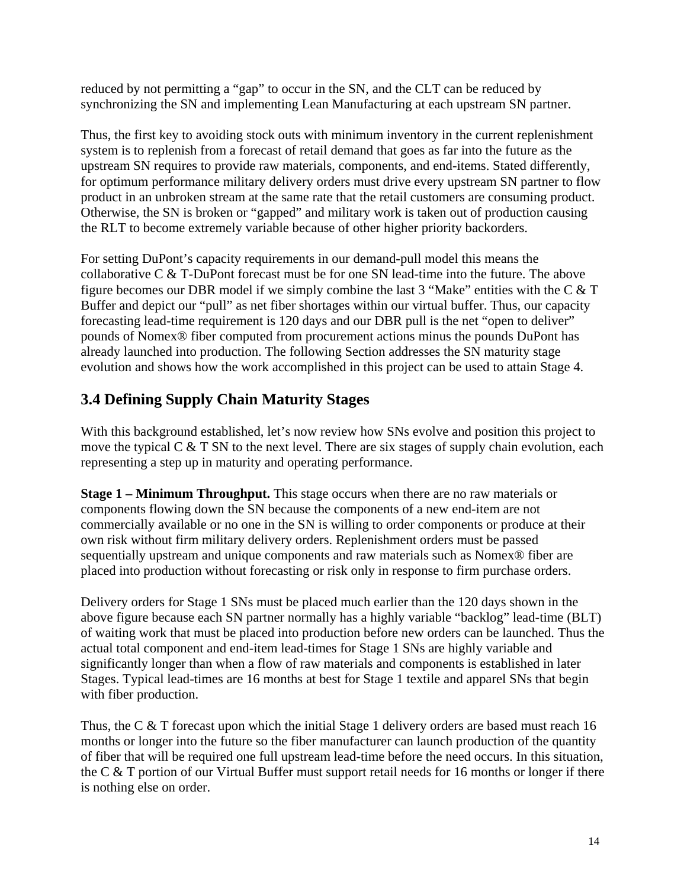reduced by not permitting a "gap" to occur in the SN, and the CLT can be reduced by synchronizing the SN and implementing Lean Manufacturing at each upstream SN partner.

Thus, the first key to avoiding stock outs with minimum inventory in the current replenishment system is to replenish from a forecast of retail demand that goes as far into the future as the upstream SN requires to provide raw materials, components, and end-items. Stated differently, for optimum performance military delivery orders must drive every upstream SN partner to flow product in an unbroken stream at the same rate that the retail customers are consuming product. Otherwise, the SN is broken or "gapped" and military work is taken out of production causing the RLT to become extremely variable because of other higher priority backorders.

For setting DuPont's capacity requirements in our demand-pull model this means the collaborative C & T-DuPont forecast must be for one SN lead-time into the future. The above figure becomes our DBR model if we simply combine the last 3 "Make" entities with the C & T Buffer and depict our "pull" as net fiber shortages within our virtual buffer. Thus, our capacity forecasting lead-time requirement is 120 days and our DBR pull is the net "open to deliver" pounds of Nomex® fiber computed from procurement actions minus the pounds DuPont has already launched into production. The following Section addresses the SN maturity stage evolution and shows how the work accomplished in this project can be used to attain Stage 4.

## **3.4 Defining Supply Chain Maturity Stages**

With this background established, let's now review how SNs evolve and position this project to move the typical C  $&$  T SN to the next level. There are six stages of supply chain evolution, each representing a step up in maturity and operating performance.

**Stage 1 – Minimum Throughput.** This stage occurs when there are no raw materials or components flowing down the SN because the components of a new end-item are not commercially available or no one in the SN is willing to order components or produce at their own risk without firm military delivery orders. Replenishment orders must be passed sequentially upstream and unique components and raw materials such as Nomex<sup>®</sup> fiber are placed into production without forecasting or risk only in response to firm purchase orders.

Delivery orders for Stage 1 SNs must be placed much earlier than the 120 days shown in the above figure because each SN partner normally has a highly variable "backlog" lead-time (BLT) of waiting work that must be placed into production before new orders can be launched. Thus the actual total component and end-item lead-times for Stage 1 SNs are highly variable and significantly longer than when a flow of raw materials and components is established in later Stages. Typical lead-times are 16 months at best for Stage 1 textile and apparel SNs that begin with fiber production.

Thus, the C  $&$  T forecast upon which the initial Stage 1 delivery orders are based must reach 16 months or longer into the future so the fiber manufacturer can launch production of the quantity of fiber that will be required one full upstream lead-time before the need occurs. In this situation, the C & T portion of our Virtual Buffer must support retail needs for 16 months or longer if there is nothing else on order.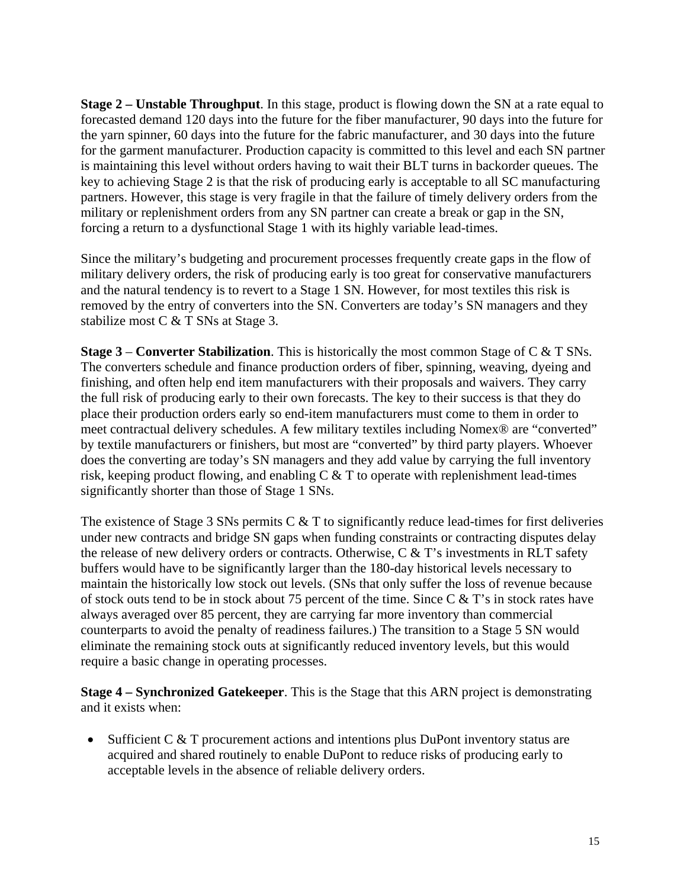**Stage 2 – Unstable Throughput**. In this stage, product is flowing down the SN at a rate equal to forecasted demand 120 days into the future for the fiber manufacturer, 90 days into the future for the yarn spinner, 60 days into the future for the fabric manufacturer, and 30 days into the future for the garment manufacturer. Production capacity is committed to this level and each SN partner is maintaining this level without orders having to wait their BLT turns in backorder queues. The key to achieving Stage 2 is that the risk of producing early is acceptable to all SC manufacturing partners. However, this stage is very fragile in that the failure of timely delivery orders from the military or replenishment orders from any SN partner can create a break or gap in the SN, forcing a return to a dysfunctional Stage 1 with its highly variable lead-times.

Since the military's budgeting and procurement processes frequently create gaps in the flow of military delivery orders, the risk of producing early is too great for conservative manufacturers and the natural tendency is to revert to a Stage 1 SN. However, for most textiles this risk is removed by the entry of converters into the SN. Converters are today's SN managers and they stabilize most C & T SNs at Stage 3.

**Stage 3** – **Converter Stabilization**. This is historically the most common Stage of C & T SNs. The converters schedule and finance production orders of fiber, spinning, weaving, dyeing and finishing, and often help end item manufacturers with their proposals and waivers. They carry the full risk of producing early to their own forecasts. The key to their success is that they do place their production orders early so end-item manufacturers must come to them in order to meet contractual delivery schedules. A few military textiles including Nomex® are "converted" by textile manufacturers or finishers, but most are "converted" by third party players. Whoever does the converting are today's SN managers and they add value by carrying the full inventory risk, keeping product flowing, and enabling  $C \& T$  to operate with replenishment lead-times significantly shorter than those of Stage 1 SNs.

The existence of Stage 3 SNs permits  $C \& T$  to significantly reduce lead-times for first deliveries under new contracts and bridge SN gaps when funding constraints or contracting disputes delay the release of new delivery orders or contracts. Otherwise,  $C \& T$ 's investments in RLT safety buffers would have to be significantly larger than the 180-day historical levels necessary to maintain the historically low stock out levels. (SNs that only suffer the loss of revenue because of stock outs tend to be in stock about 75 percent of the time. Since C & T's in stock rates have always averaged over 85 percent, they are carrying far more inventory than commercial counterparts to avoid the penalty of readiness failures.) The transition to a Stage 5 SN would eliminate the remaining stock outs at significantly reduced inventory levels, but this would require a basic change in operating processes.

**Stage 4 – Synchronized Gatekeeper**. This is the Stage that this ARN project is demonstrating and it exists when:

• Sufficient C & T procurement actions and intentions plus DuPont inventory status are acquired and shared routinely to enable DuPont to reduce risks of producing early to acceptable levels in the absence of reliable delivery orders.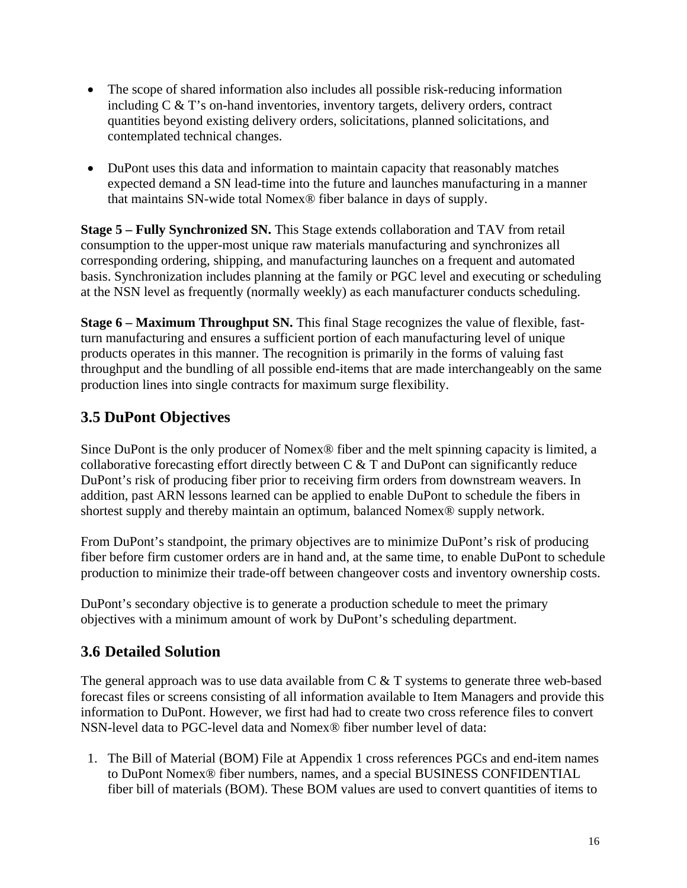- The scope of shared information also includes all possible risk-reducing information including C & T's on-hand inventories, inventory targets, delivery orders, contract quantities beyond existing delivery orders, solicitations, planned solicitations, and contemplated technical changes.
- DuPont uses this data and information to maintain capacity that reasonably matches expected demand a SN lead-time into the future and launches manufacturing in a manner that maintains SN-wide total Nomex® fiber balance in days of supply.

**Stage 5 – Fully Synchronized SN.** This Stage extends collaboration and TAV from retail consumption to the upper-most unique raw materials manufacturing and synchronizes all corresponding ordering, shipping, and manufacturing launches on a frequent and automated basis. Synchronization includes planning at the family or PGC level and executing or scheduling at the NSN level as frequently (normally weekly) as each manufacturer conducts scheduling.

**Stage 6 – Maximum Throughput SN.** This final Stage recognizes the value of flexible, fastturn manufacturing and ensures a sufficient portion of each manufacturing level of unique products operates in this manner. The recognition is primarily in the forms of valuing fast throughput and the bundling of all possible end-items that are made interchangeably on the same production lines into single contracts for maximum surge flexibility.

## **3.5 DuPont Objectives**

Since DuPont is the only producer of Nomex® fiber and the melt spinning capacity is limited, a collaborative forecasting effort directly between C & T and DuPont can significantly reduce DuPont's risk of producing fiber prior to receiving firm orders from downstream weavers. In addition, past ARN lessons learned can be applied to enable DuPont to schedule the fibers in shortest supply and thereby maintain an optimum, balanced Nomex® supply network.

From DuPont's standpoint, the primary objectives are to minimize DuPont's risk of producing fiber before firm customer orders are in hand and, at the same time, to enable DuPont to schedule production to minimize their trade-off between changeover costs and inventory ownership costs.

DuPont's secondary objective is to generate a production schedule to meet the primary objectives with a minimum amount of work by DuPont's scheduling department.

### **3.6 Detailed Solution**

The general approach was to use data available from  $C \& T$  systems to generate three web-based forecast files or screens consisting of all information available to Item Managers and provide this information to DuPont. However, we first had had to create two cross reference files to convert NSN-level data to PGC-level data and Nomex® fiber number level of data:

1. The Bill of Material (BOM) File at Appendix 1 cross references PGCs and end-item names to DuPont Nomex® fiber numbers, names, and a special BUSINESS CONFIDENTIAL fiber bill of materials (BOM). These BOM values are used to convert quantities of items to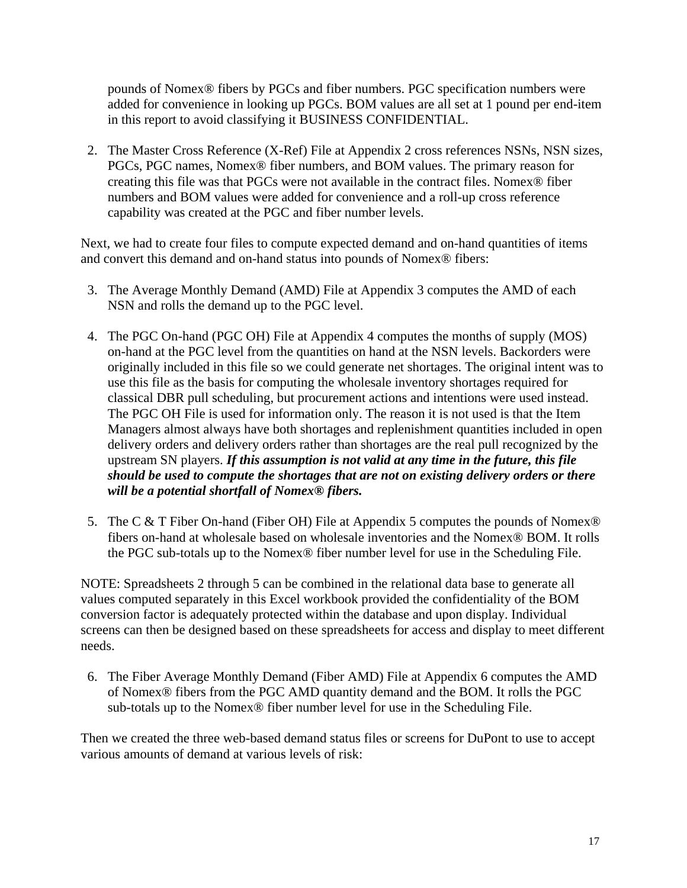pounds of Nomex® fibers by PGCs and fiber numbers. PGC specification numbers were added for convenience in looking up PGCs. BOM values are all set at 1 pound per end-item in this report to avoid classifying it BUSINESS CONFIDENTIAL.

2. The Master Cross Reference (X-Ref) File at Appendix 2 cross references NSNs, NSN sizes, PGCs, PGC names, Nomex® fiber numbers, and BOM values. The primary reason for creating this file was that PGCs were not available in the contract files. Nomex® fiber numbers and BOM values were added for convenience and a roll-up cross reference capability was created at the PGC and fiber number levels.

Next, we had to create four files to compute expected demand and on-hand quantities of items and convert this demand and on-hand status into pounds of Nomex® fibers:

- 3. The Average Monthly Demand (AMD) File at Appendix 3 computes the AMD of each NSN and rolls the demand up to the PGC level.
- 4. The PGC On-hand (PGC OH) File at Appendix 4 computes the months of supply (MOS) on-hand at the PGC level from the quantities on hand at the NSN levels. Backorders were originally included in this file so we could generate net shortages. The original intent was to use this file as the basis for computing the wholesale inventory shortages required for classical DBR pull scheduling, but procurement actions and intentions were used instead. The PGC OH File is used for information only. The reason it is not used is that the Item Managers almost always have both shortages and replenishment quantities included in open delivery orders and delivery orders rather than shortages are the real pull recognized by the upstream SN players. *If this assumption is not valid at any time in the future, this file should be used to compute the shortages that are not on existing delivery orders or there will be a potential shortfall of Nomex® fibers.*
- 5. The C & T Fiber On-hand (Fiber OH) File at Appendix 5 computes the pounds of Nomex<sup>®</sup> fibers on-hand at wholesale based on wholesale inventories and the Nomex® BOM. It rolls the PGC sub-totals up to the Nomex® fiber number level for use in the Scheduling File.

NOTE: Spreadsheets 2 through 5 can be combined in the relational data base to generate all values computed separately in this Excel workbook provided the confidentiality of the BOM conversion factor is adequately protected within the database and upon display. Individual screens can then be designed based on these spreadsheets for access and display to meet different needs.

6. The Fiber Average Monthly Demand (Fiber AMD) File at Appendix 6 computes the AMD of Nomex® fibers from the PGC AMD quantity demand and the BOM. It rolls the PGC sub-totals up to the Nomex® fiber number level for use in the Scheduling File.

Then we created the three web-based demand status files or screens for DuPont to use to accept various amounts of demand at various levels of risk: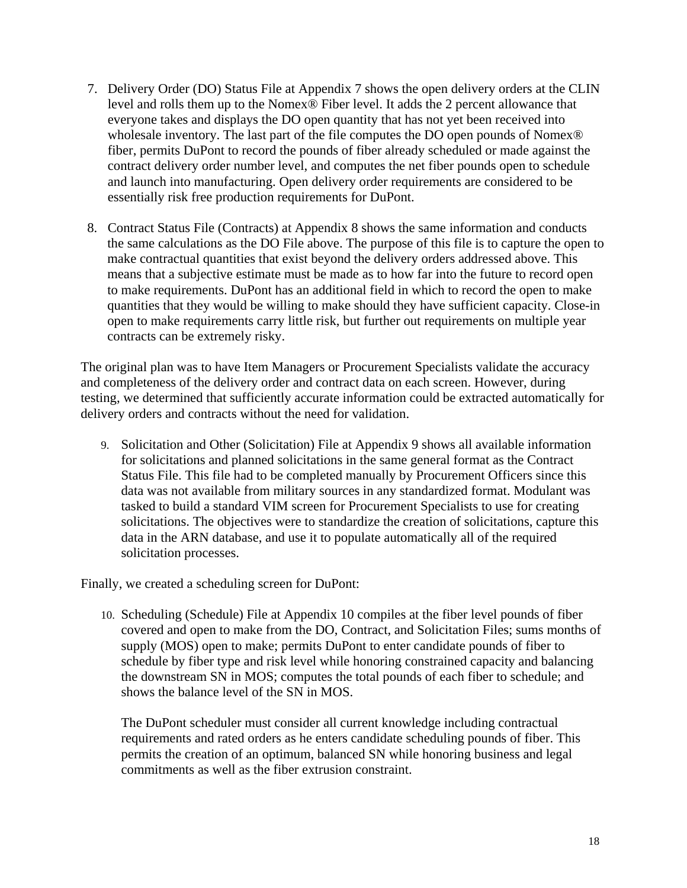- 7. Delivery Order (DO) Status File at Appendix 7 shows the open delivery orders at the CLIN level and rolls them up to the Nomex® Fiber level. It adds the 2 percent allowance that everyone takes and displays the DO open quantity that has not yet been received into wholesale inventory. The last part of the file computes the DO open pounds of Nomex® fiber, permits DuPont to record the pounds of fiber already scheduled or made against the contract delivery order number level, and computes the net fiber pounds open to schedule and launch into manufacturing. Open delivery order requirements are considered to be essentially risk free production requirements for DuPont.
- 8. Contract Status File (Contracts) at Appendix 8 shows the same information and conducts the same calculations as the DO File above. The purpose of this file is to capture the open to make contractual quantities that exist beyond the delivery orders addressed above. This means that a subjective estimate must be made as to how far into the future to record open to make requirements. DuPont has an additional field in which to record the open to make quantities that they would be willing to make should they have sufficient capacity. Close-in open to make requirements carry little risk, but further out requirements on multiple year contracts can be extremely risky.

The original plan was to have Item Managers or Procurement Specialists validate the accuracy and completeness of the delivery order and contract data on each screen. However, during testing, we determined that sufficiently accurate information could be extracted automatically for delivery orders and contracts without the need for validation.

9. Solicitation and Other (Solicitation) File at Appendix 9 shows all available information for solicitations and planned solicitations in the same general format as the Contract Status File. This file had to be completed manually by Procurement Officers since this data was not available from military sources in any standardized format. Modulant was tasked to build a standard VIM screen for Procurement Specialists to use for creating solicitations. The objectives were to standardize the creation of solicitations, capture this data in the ARN database, and use it to populate automatically all of the required solicitation processes.

Finally, we created a scheduling screen for DuPont:

10. Scheduling (Schedule) File at Appendix 10 compiles at the fiber level pounds of fiber covered and open to make from the DO, Contract, and Solicitation Files; sums months of supply (MOS) open to make; permits DuPont to enter candidate pounds of fiber to schedule by fiber type and risk level while honoring constrained capacity and balancing the downstream SN in MOS; computes the total pounds of each fiber to schedule; and shows the balance level of the SN in MOS.

The DuPont scheduler must consider all current knowledge including contractual requirements and rated orders as he enters candidate scheduling pounds of fiber. This permits the creation of an optimum, balanced SN while honoring business and legal commitments as well as the fiber extrusion constraint.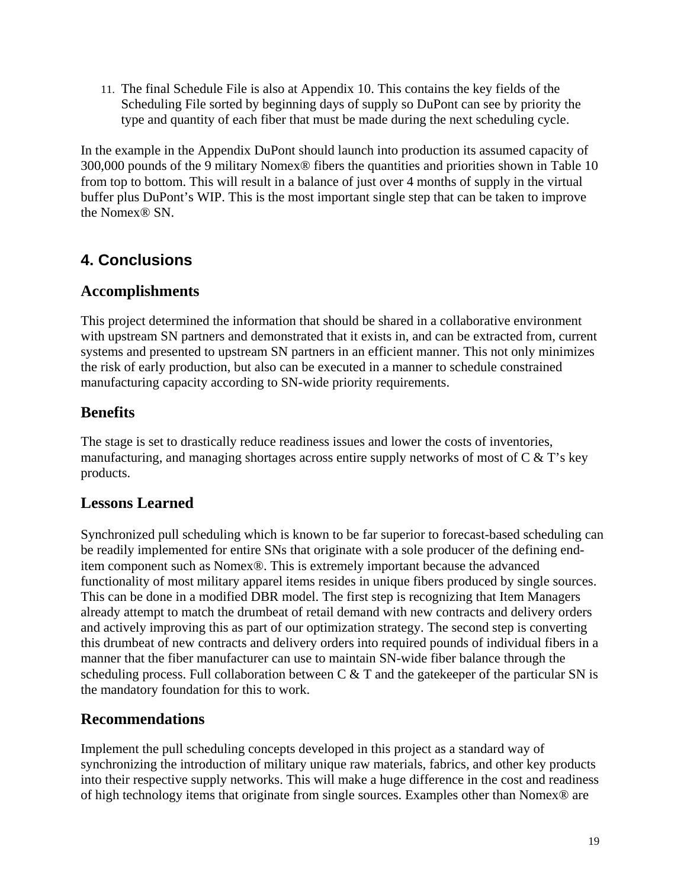11. The final Schedule File is also at Appendix 10. This contains the key fields of the Scheduling File sorted by beginning days of supply so DuPont can see by priority the type and quantity of each fiber that must be made during the next scheduling cycle.

In the example in the Appendix DuPont should launch into production its assumed capacity of 300,000 pounds of the 9 military Nomex® fibers the quantities and priorities shown in Table 10 from top to bottom. This will result in a balance of just over 4 months of supply in the virtual buffer plus DuPont's WIP. This is the most important single step that can be taken to improve the Nomex® SN.

# **4. Conclusions**

## **Accomplishments**

This project determined the information that should be shared in a collaborative environment with upstream SN partners and demonstrated that it exists in, and can be extracted from, current systems and presented to upstream SN partners in an efficient manner. This not only minimizes the risk of early production, but also can be executed in a manner to schedule constrained manufacturing capacity according to SN-wide priority requirements.

## **Benefits**

The stage is set to drastically reduce readiness issues and lower the costs of inventories, manufacturing, and managing shortages across entire supply networks of most of  $C \& T$ 's key products.

### **Lessons Learned**

Synchronized pull scheduling which is known to be far superior to forecast-based scheduling can be readily implemented for entire SNs that originate with a sole producer of the defining enditem component such as Nomex®. This is extremely important because the advanced functionality of most military apparel items resides in unique fibers produced by single sources. This can be done in a modified DBR model. The first step is recognizing that Item Managers already attempt to match the drumbeat of retail demand with new contracts and delivery orders and actively improving this as part of our optimization strategy. The second step is converting this drumbeat of new contracts and delivery orders into required pounds of individual fibers in a manner that the fiber manufacturer can use to maintain SN-wide fiber balance through the scheduling process. Full collaboration between  $C \& T$  and the gatekeeper of the particular SN is the mandatory foundation for this to work.

## **Recommendations**

Implement the pull scheduling concepts developed in this project as a standard way of synchronizing the introduction of military unique raw materials, fabrics, and other key products into their respective supply networks. This will make a huge difference in the cost and readiness of high technology items that originate from single sources. Examples other than Nomex® are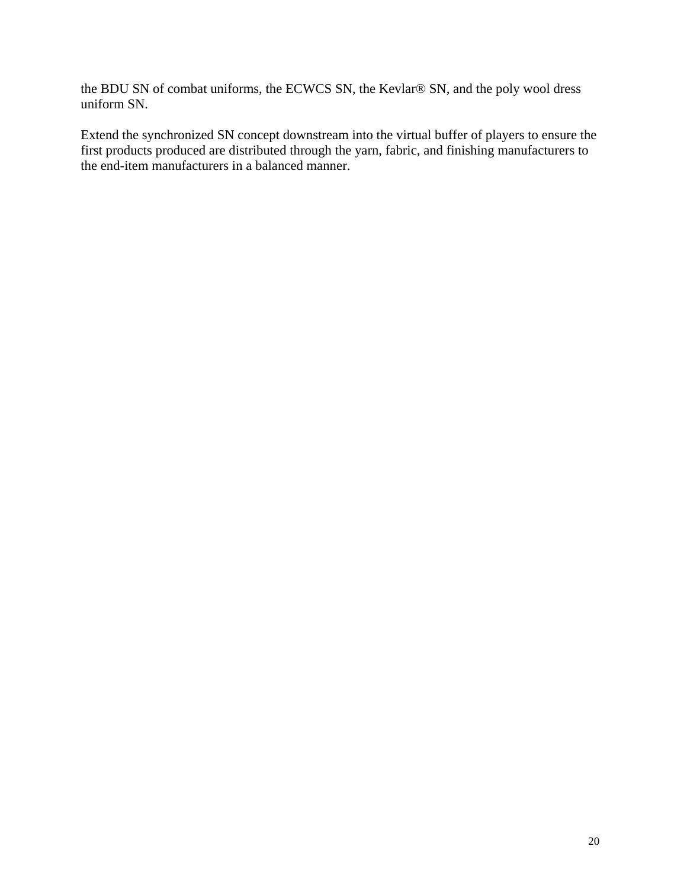the BDU SN of combat uniforms, the ECWCS SN, the Kevlar® SN, and the poly wool dress uniform SN.

Extend the synchronized SN concept downstream into the virtual buffer of players to ensure the first products produced are distributed through the yarn, fabric, and finishing manufacturers to the end-item manufacturers in a balanced manner.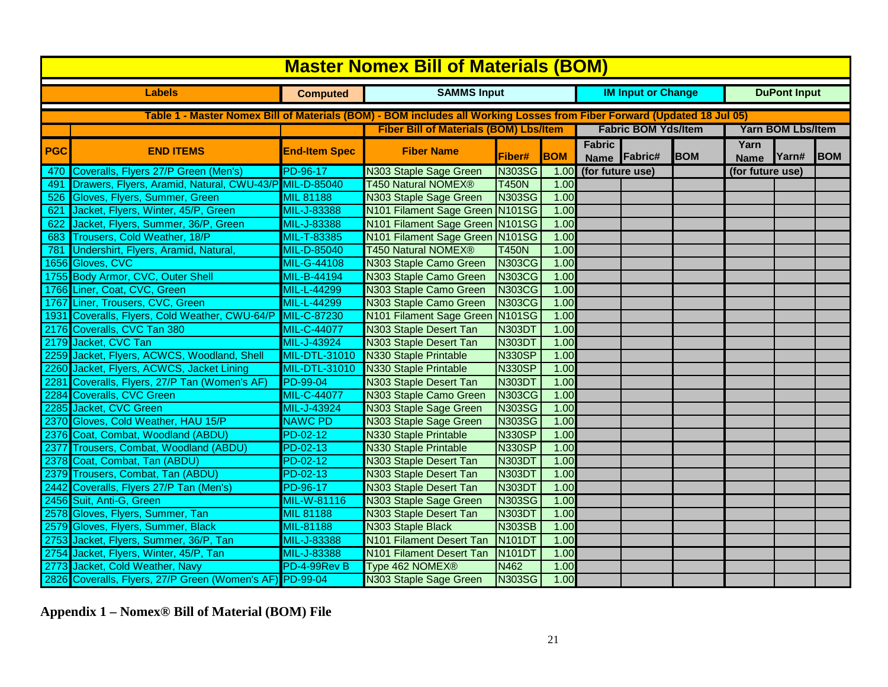|               | <b>Master Nomex Bill of Materials (BOM)</b>                                                                             |                      |                                               |               |            |                        |                            |            |                          |                     |            |  |  |  |
|---------------|-------------------------------------------------------------------------------------------------------------------------|----------------------|-----------------------------------------------|---------------|------------|------------------------|----------------------------|------------|--------------------------|---------------------|------------|--|--|--|
|               | <b>Labels</b>                                                                                                           | <b>Computed</b>      | <b>SAMMS Input</b>                            |               |            |                        | <b>IM Input or Change</b>  |            |                          | <b>DuPont Input</b> |            |  |  |  |
|               | Table 1 - Master Nomex Bill of Materials (BOM) - BOM includes all Working Losses from Fiber Forward (Updated 18 Jul 05) |                      |                                               |               |            |                        |                            |            |                          |                     |            |  |  |  |
|               |                                                                                                                         |                      | <b>Fiber Bill of Materials (BOM) Lbs/Item</b> |               |            |                        | <b>Fabric BOM Yds/Item</b> |            | <b>Yarn BOM Lbs/Item</b> |                     |            |  |  |  |
|               |                                                                                                                         |                      |                                               |               |            | <b>Fabric</b>          |                            |            | Yarn                     |                     |            |  |  |  |
| PGC           | <b>END ITEMS</b>                                                                                                        | <b>End-Item Spec</b> | <b>Fiber Name</b>                             | Fiber#        | <b>BOM</b> | Fabric#<br><b>Name</b> |                            | <b>BOM</b> | <b>Name</b>              | Yarn#               | <b>BOM</b> |  |  |  |
| 470           | Coveralls, Flyers 27/P Green (Men's)                                                                                    | PD-96-17             | N303 Staple Sage Green                        | <b>N303SG</b> | 1.00       | (for future use)       |                            |            | (for future use)         |                     |            |  |  |  |
| 491           | Drawers, Flyers, Aramid, Natural, CWU-43/P MIL-D-85040                                                                  |                      | <b>T450 Natural NOMEX®</b>                    | <b>T450N</b>  | 1.00       |                        |                            |            |                          |                     |            |  |  |  |
| 526           | Gloves, Flyers, Summer, Green                                                                                           | <b>MIL 81188</b>     | N303 Staple Sage Green                        | <b>N303SG</b> | 1.00       |                        |                            |            |                          |                     |            |  |  |  |
| 621           | Jacket, Flyers, Winter, 45/P, Green                                                                                     | MIL-J-83388          | N101 Filament Sage Green N101SG               |               | 1.00       |                        |                            |            |                          |                     |            |  |  |  |
| 622           | Jacket, Flyers, Summer, 36/P, Green                                                                                     | MIL-J-83388          | N101 Filament Sage Green N101SG               |               | 1.00       |                        |                            |            |                          |                     |            |  |  |  |
| 683           | Trousers, Cold Weather, 18/P                                                                                            | MIL-T-83385          | N101 Filament Sage Green N101SG               |               | 1.00       |                        |                            |            |                          |                     |            |  |  |  |
| 781           | Undershirt, Flyers, Aramid, Natural,                                                                                    | <b>MIL-D-85040</b>   | <b>T450 Natural NOMEX®</b>                    | <b>T450N</b>  | 1.00       |                        |                            |            |                          |                     |            |  |  |  |
| 1656          | Gloves, CVC                                                                                                             | <b>MIL-G-44108</b>   | N303 Staple Camo Green                        | <b>N303CG</b> | 1.00       |                        |                            |            |                          |                     |            |  |  |  |
|               | 1755 Body Armor, CVC, Outer Shell                                                                                       | <b>MIL-B-44194</b>   | N303 Staple Camo Green                        | <b>N303CG</b> | 1.00       |                        |                            |            |                          |                     |            |  |  |  |
|               | 1766 Liner, Coat, CVC, Green                                                                                            | MIL-L-44299          | N303 Staple Camo Green                        | <b>N303CG</b> | 1.00       |                        |                            |            |                          |                     |            |  |  |  |
|               | 1767 Liner, Trousers, CVC, Green                                                                                        | MIL-L-44299          | N303 Staple Camo Green                        | <b>N303CG</b> | 1.00       |                        |                            |            |                          |                     |            |  |  |  |
| 1931          | Coveralls, Flyers, Cold Weather, CWU-64/P                                                                               | MIL-C-87230          | N101 Filament Sage Green N101SG               |               | 1.00       |                        |                            |            |                          |                     |            |  |  |  |
|               | 2176 Coveralls, CVC Tan 380                                                                                             | MIL-C-44077          | N303 Staple Desert Tan                        | <b>N303DT</b> | 1.00       |                        |                            |            |                          |                     |            |  |  |  |
|               | 2179 Jacket, CVC Tan                                                                                                    | MIL-J-43924          | N303 Staple Desert Tan                        | <b>N303DT</b> | 1.00       |                        |                            |            |                          |                     |            |  |  |  |
|               | 2259 Jacket, Flyers, ACWCS, Woodland, Shell                                                                             | <b>MIL-DTL-31010</b> | N330 Staple Printable                         | <b>N330SP</b> | 1.00       |                        |                            |            |                          |                     |            |  |  |  |
|               | 2260 Jacket, Flyers, ACWCS, Jacket Lining                                                                               | <b>MIL-DTL-31010</b> | <b>N330 Staple Printable</b>                  | <b>N330SP</b> | 1.00       |                        |                            |            |                          |                     |            |  |  |  |
| 2281          | Coveralls, Flyers, 27/P Tan (Women's AF)                                                                                | PD-99-04             | N303 Staple Desert Tan                        | <b>N303DT</b> | 1.00       |                        |                            |            |                          |                     |            |  |  |  |
| 2284          | <b>Coveralls, CVC Green</b>                                                                                             | <b>MIL-C-44077</b>   | N303 Staple Camo Green                        | <b>N303CG</b> | 1.00       |                        |                            |            |                          |                     |            |  |  |  |
| 2285          | Jacket, CVC Green                                                                                                       | MIL-J-43924          | N303 Staple Sage Green                        | <b>N303SG</b> | 1.00       |                        |                            |            |                          |                     |            |  |  |  |
| 2370          | Gloves, Cold Weather, HAU 15/P                                                                                          | <b>NAWC PD</b>       | N303 Staple Sage Green                        | <b>N303SG</b> | 1.00       |                        |                            |            |                          |                     |            |  |  |  |
| 2376          | Coat, Combat, Woodland (ABDU)                                                                                           | $PD-02-12$           | N330 Staple Printable                         | <b>N330SP</b> | 1.00       |                        |                            |            |                          |                     |            |  |  |  |
| 2377          | Trousers, Combat, Woodland (ABDU)                                                                                       | $PD-02-13$           | N330 Staple Printable                         | <b>N330SP</b> | 1.00       |                        |                            |            |                          |                     |            |  |  |  |
| 2378          | Coat, Combat, Tan (ABDU)                                                                                                | PD-02-12             | N303 Staple Desert Tan                        | N303DT        | 1.00       |                        |                            |            |                          |                     |            |  |  |  |
| 2379          | Trousers, Combat, Tan (ABDU)                                                                                            | PD-02-13             | N303 Staple Desert Tan                        | <b>N303DT</b> | 1.00       |                        |                            |            |                          |                     |            |  |  |  |
| 2442          | Coveralls, Flyers 27/P Tan (Men's)                                                                                      | PD-96-17             | N303 Staple Desert Tan                        | <b>N303DT</b> | 1.00       |                        |                            |            |                          |                     |            |  |  |  |
| 2456          | Suit, Anti-G, Green                                                                                                     | <b>MIL-W-81116</b>   | N303 Staple Sage Green                        | <b>N303SG</b> | 1.00       |                        |                            |            |                          |                     |            |  |  |  |
| 2578          | Gloves, Flyers, Summer, Tan                                                                                             | <b>MIL 81188</b>     | N303 Staple Desert Tan                        | <b>N303DT</b> | 1.00       |                        |                            |            |                          |                     |            |  |  |  |
| 2579          | Gloves, Flyers, Summer, Black                                                                                           | MIL-81188            | N303 Staple Black                             | <b>N303SB</b> | 1.00       |                        |                            |            |                          |                     |            |  |  |  |
| $\sqrt{2753}$ | Jacket, Flyers, Summer, 36/P, Tan                                                                                       | MIL-J-83388          | N101 Filament Desert Tan                      | <b>N101DT</b> | 1.00       |                        |                            |            |                          |                     |            |  |  |  |
|               | 2754 Jacket, Flyers, Winter, 45/P, Tan                                                                                  | MIL-J-83388          | N101 Filament Desert Tan                      | <b>N101DT</b> | 1.00       |                        |                            |            |                          |                     |            |  |  |  |
| 2773          | Jacket, Cold Weather, Navy                                                                                              | PD-4-99Rev B         | Type 462 NOMEX®                               | N462          | 1.00       |                        |                            |            |                          |                     |            |  |  |  |
|               | 2826 Coveralls, Flyers, 27/P Green (Women's AF) PD-99-04                                                                |                      | N303 Staple Sage Green                        | <b>N303SG</b> | 1.00       |                        |                            |            |                          |                     |            |  |  |  |

**Appendix 1 – Nomex® Bill of Material (BOM) File**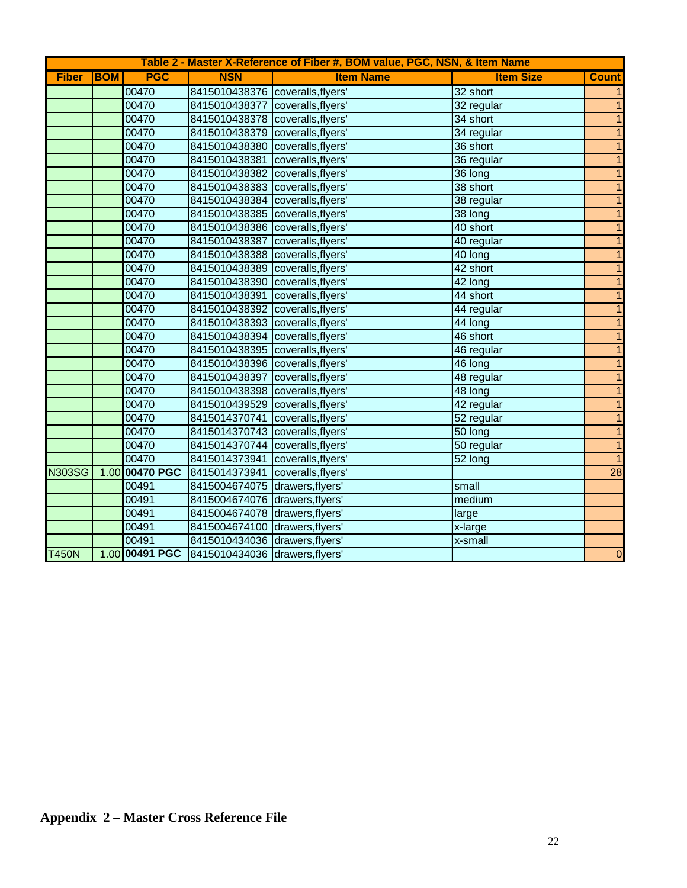|               | Table 2 - Master X-Reference of Fiber #, BOM value, PGC, NSN, & Item Name |                |                                               |                    |                      |                          |  |  |  |  |  |  |  |
|---------------|---------------------------------------------------------------------------|----------------|-----------------------------------------------|--------------------|----------------------|--------------------------|--|--|--|--|--|--|--|
| <b>Fiber</b>  | <b>BOM</b>                                                                | <b>PGC</b>     | <b>NSN</b>                                    | <b>Item Name</b>   | <b>Item Size</b>     | <b>Count</b>             |  |  |  |  |  |  |  |
|               |                                                                           | 00470          | 8415010438376 coveralls, flyers'              |                    | 32 short             | $\mathbf{1}$             |  |  |  |  |  |  |  |
|               |                                                                           | 00470          | 8415010438377 coveralls, flyers'              |                    | 32 regular           | $\mathbf{1}$             |  |  |  |  |  |  |  |
|               |                                                                           | 00470          | 8415010438378 coveralls, flyers'              |                    | 34 short             | $\mathbf{1}$             |  |  |  |  |  |  |  |
|               |                                                                           | 00470          | 8415010438379 coveralls, flyers'              |                    | 34 regular           | $\mathbf{1}$             |  |  |  |  |  |  |  |
|               |                                                                           | 00470          | 8415010438380 coveralls, flyers'              |                    | 36 short             | $\overline{1}$           |  |  |  |  |  |  |  |
|               |                                                                           | 00470          | 8415010438381 coveralls, flyers'              |                    | 36 regular           | $\overline{1}$           |  |  |  |  |  |  |  |
|               |                                                                           | 00470          | 8415010438382 coveralls, flyers'              |                    | $36$ long            | $\mathbf{1}$             |  |  |  |  |  |  |  |
|               |                                                                           | 00470          | 8415010438383 coveralls, flyers'              |                    | 38 short             | $\overline{\phantom{a}}$ |  |  |  |  |  |  |  |
|               |                                                                           | 00470          | 8415010438384 coveralls, flyers'              |                    | 38 regular           | $\overline{1}$           |  |  |  |  |  |  |  |
|               |                                                                           | 00470          | 8415010438385 coveralls, flyers'              |                    | 38 long              | $\overline{\phantom{a}}$ |  |  |  |  |  |  |  |
|               |                                                                           | 00470          | 8415010438386 coveralls, flyers'              |                    | 40 short             | $\mathbf{1}$             |  |  |  |  |  |  |  |
|               |                                                                           | 00470          | 8415010438387 coveralls, flyers'              |                    | 40 regular           | $\overline{1}$           |  |  |  |  |  |  |  |
|               |                                                                           | 00470          | 8415010438388 coveralls, flyers'              |                    | 40 long              | $\overline{1}$           |  |  |  |  |  |  |  |
|               |                                                                           | 00470          | 8415010438389 coveralls, flyers'              |                    | 42 short             | $\mathbf{1}$             |  |  |  |  |  |  |  |
|               |                                                                           | 00470          | 8415010438390 coveralls, flyers'              |                    | $\overline{42}$ long | $\mathbf{1}$             |  |  |  |  |  |  |  |
|               |                                                                           | 00470          | 8415010438391 coveralls, flyers'              |                    | 44 short             | $\overline{1}$           |  |  |  |  |  |  |  |
|               |                                                                           | 00470          | 8415010438392 coveralls, flyers'              |                    | 44 regular           | $\overline{1}$           |  |  |  |  |  |  |  |
|               |                                                                           | 00470          | 8415010438393 coveralls, flyers'              |                    | 44 long              | $\mathbf{1}$             |  |  |  |  |  |  |  |
|               |                                                                           | 00470          | 8415010438394 coveralls, flyers'              |                    | 46 short             | $\overline{1}$           |  |  |  |  |  |  |  |
|               |                                                                           | 00470          | 8415010438395 coveralls, flyers'              |                    | 46 regular           | $\overline{1}$           |  |  |  |  |  |  |  |
|               |                                                                           | 00470          | 8415010438396 coveralls, flyers'              |                    | 46 long              | $\mathbf{1}$             |  |  |  |  |  |  |  |
|               |                                                                           | 00470          | 8415010438397                                 | coveralls, flyers' | 48 regular           | $\overline{1}$           |  |  |  |  |  |  |  |
|               |                                                                           | 00470          | 8415010438398 coveralls, flyers'              |                    | 48 long              | $\overline{1}$           |  |  |  |  |  |  |  |
|               |                                                                           | 00470          | 8415010439529 coveralls, flyers'              |                    | 42 regular           | $\mathbf{1}$             |  |  |  |  |  |  |  |
|               |                                                                           | 00470          | 8415014370741 coveralls, flyers'              |                    | 52 regular           | $\overline{1}$           |  |  |  |  |  |  |  |
|               |                                                                           | 00470          | 8415014370743 coveralls, flyers'              |                    | 50 long              | $\overline{1}$           |  |  |  |  |  |  |  |
|               |                                                                           | 00470          | 8415014370744 coveralls, flyers'              |                    | 50 regular           | $\overline{1}$           |  |  |  |  |  |  |  |
|               |                                                                           | 00470          | 8415014373941 coveralls, flyers'              |                    | 52 long              | $\overline{1}$           |  |  |  |  |  |  |  |
| <b>N303SG</b> |                                                                           | 1.00 00470 PGC | 8415014373941 coveralls, flyers'              |                    |                      | 28                       |  |  |  |  |  |  |  |
|               |                                                                           | 00491          | 8415004674075 drawers, flyers'                |                    | small                |                          |  |  |  |  |  |  |  |
|               |                                                                           | 00491          | 8415004674076 drawers, flyers'                |                    | medium               |                          |  |  |  |  |  |  |  |
|               |                                                                           | 00491          | 8415004674078 drawers, flyers'                |                    | large                |                          |  |  |  |  |  |  |  |
|               |                                                                           | 00491          | 8415004674100 drawers, flyers'                |                    | x-large              |                          |  |  |  |  |  |  |  |
|               |                                                                           | 00491          | 8415010434036 drawers, flyers'                |                    | x-small              |                          |  |  |  |  |  |  |  |
| <b>T450N</b>  |                                                                           |                | 1.00 00491 PGC 8415010434036 drawers, flyers' |                    |                      | $\overline{0}$           |  |  |  |  |  |  |  |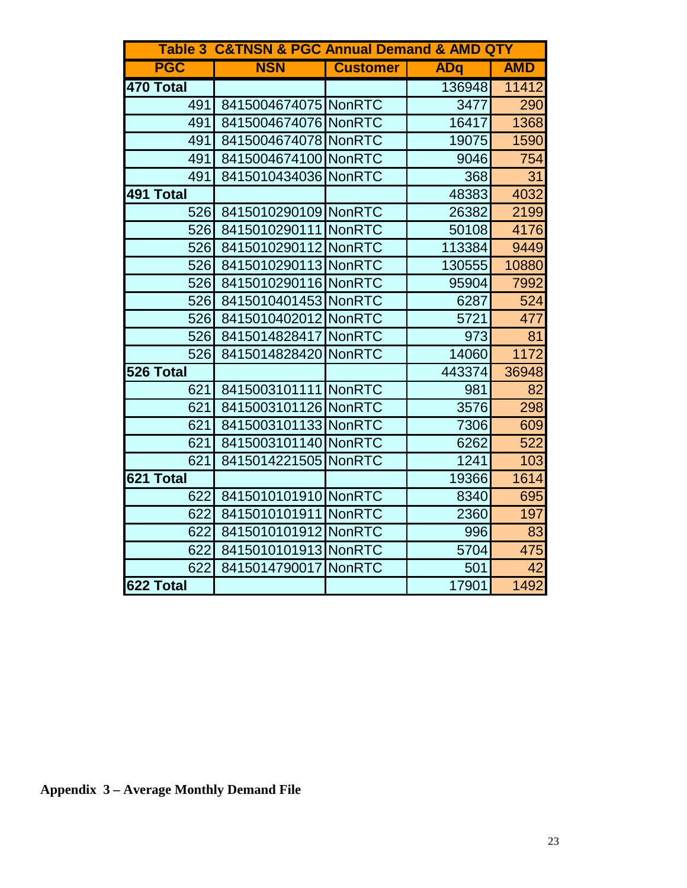|            | <b>Table 3 C&amp;TNSN &amp; PGC Annual Demand &amp; AMD QTY</b> |                 |            |            |
|------------|-----------------------------------------------------------------|-----------------|------------|------------|
| <b>PGC</b> | <b>NSN</b>                                                      | <b>Customer</b> | <b>ADq</b> | <b>AMD</b> |
| 470 Total  |                                                                 |                 | 136948     | 11412      |
| 491        | 8415004674075 NonRTC                                            |                 | 3477       | 290        |
| 491        | 8415004674076 NonRTC                                            |                 | 16417      | 1368       |
| 491        | 8415004674078 NonRTC                                            |                 | 19075      | 1590       |
| 491        | 8415004674100 NonRTC                                            |                 | 9046       | 754        |
| 491        | 8415010434036 NonRTC                                            |                 | 368        | 31         |
| 491 Total  |                                                                 |                 | 48383      | 4032       |
| 526        | 8415010290109 NonRTC                                            |                 | 26382      | 2199       |
| 526        | 8415010290111 NonRTC                                            |                 | 50108      | 4176       |
| 526        | 8415010290112 NonRTC                                            |                 | 113384     | 9449       |
| 526        | 8415010290113 NonRTC                                            |                 | 130555     | 10880      |
| 526        | 8415010290116 NonRTC                                            |                 | 95904      | 7992       |
| 526        | 8415010401453 NonRTC                                            |                 | 6287       | 524        |
| 526        | 8415010402012 NonRTC                                            |                 | 5721       | 477        |
| 526        | 8415014828417 NonRTC                                            |                 | 973        | 81         |
| 526        | 8415014828420 NonRTC                                            |                 | 14060      | 1172       |
| 526 Total  |                                                                 |                 | 443374     | 36948      |
| 621        | 8415003101111 NonRTC                                            |                 | 981        | 82         |
| 621        | 8415003101126 NonRTC                                            |                 | 3576       | 298        |
| 621        | 8415003101133 NonRTC                                            |                 | 7306       | 609        |
| 621        | 8415003101140 NonRTC                                            |                 | 6262       | 522        |
| 621        | 8415014221505 NonRTC                                            |                 | 1241       | 103        |
| 621 Total  |                                                                 |                 | 19366      | 1614       |
| 622        | 8415010101910 NonRTC                                            |                 | 8340       | 695        |
| 622        | 8415010101911 NonRTC                                            |                 | 2360       | 197        |
| 622        | 8415010101912 NonRTC                                            |                 | 996        | 83         |
| 622        | 8415010101913 NonRTC                                            |                 | 5704       | 475        |
| 622        | 8415014790017 NonRTC                                            |                 | 501        | 42         |
| 622 Total  |                                                                 |                 | 17901      | 1492       |

**Appendix 3 – Average Monthly Demand File**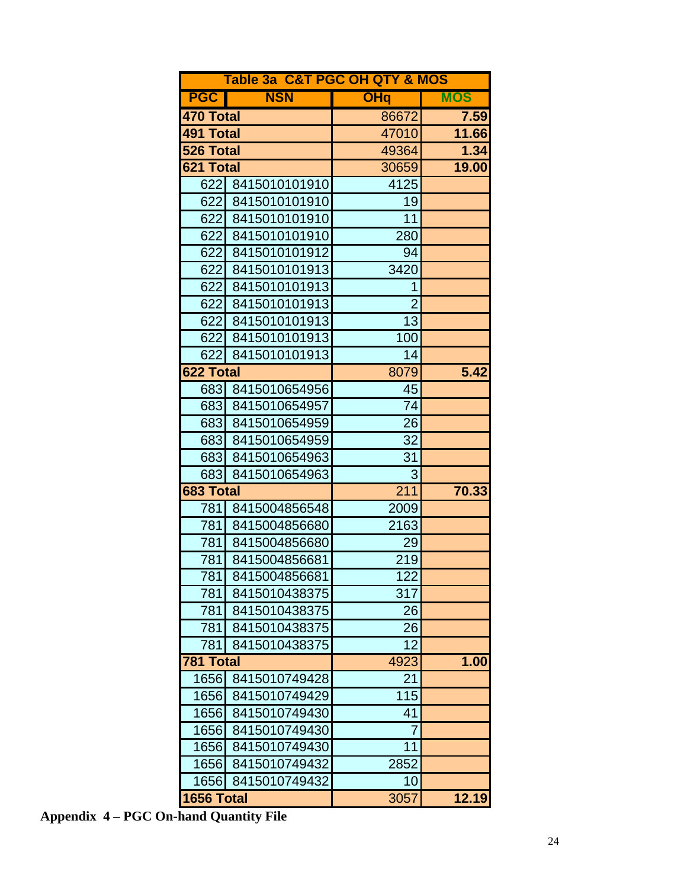|            |                   | Table 3a C&T PGC OH QTY & MOS |            |  |  |  |  |  |  |  |
|------------|-------------------|-------------------------------|------------|--|--|--|--|--|--|--|
| <b>PGC</b> | <b>NSN</b>        | <b>OHq</b>                    | <b>MOS</b> |  |  |  |  |  |  |  |
| 470 Total  |                   | 86672                         | 7.59       |  |  |  |  |  |  |  |
| 491 Total  |                   | 47010                         | 11.66      |  |  |  |  |  |  |  |
| 526 Total  |                   | 49364                         | 1.34       |  |  |  |  |  |  |  |
| 621 Total  |                   | 30659                         | 19.00      |  |  |  |  |  |  |  |
|            | 622 8415010101910 | 4125                          |            |  |  |  |  |  |  |  |
|            | 622 8415010101910 | 19                            |            |  |  |  |  |  |  |  |
| 622        | 8415010101910     | 11                            |            |  |  |  |  |  |  |  |
|            | 622 8415010101910 | 280                           |            |  |  |  |  |  |  |  |
|            | 622 8415010101912 | 94                            |            |  |  |  |  |  |  |  |
| 622        | 8415010101913     | 3420                          |            |  |  |  |  |  |  |  |
| 622I       | 8415010101913     | 1                             |            |  |  |  |  |  |  |  |
| 622        | 8415010101913     | $\overline{2}$                |            |  |  |  |  |  |  |  |
|            | 622 8415010101913 | 13                            |            |  |  |  |  |  |  |  |
| 622        | 8415010101913     | 100                           |            |  |  |  |  |  |  |  |
| 622        | 8415010101913     | 14                            |            |  |  |  |  |  |  |  |
| 622 Total  |                   | 8079                          | 5.42       |  |  |  |  |  |  |  |
|            | 683 8415010654956 | 45                            |            |  |  |  |  |  |  |  |
|            | 683 8415010654957 | 74                            |            |  |  |  |  |  |  |  |
|            | 683 8415010654959 | 26                            |            |  |  |  |  |  |  |  |
| 6831       | 8415010654959     | 32                            |            |  |  |  |  |  |  |  |
|            | 683 8415010654963 | 31                            |            |  |  |  |  |  |  |  |
| 683        | 8415010654963     | 3                             |            |  |  |  |  |  |  |  |
| 683 Total  |                   | 211                           | 70.33      |  |  |  |  |  |  |  |
| 781        | 8415004856548     | 2009                          |            |  |  |  |  |  |  |  |
| 781        | 8415004856680     | 2163                          |            |  |  |  |  |  |  |  |
| 781        | 8415004856680     | 29                            |            |  |  |  |  |  |  |  |
| 781        | 8415004856681     | 219                           |            |  |  |  |  |  |  |  |
| 781        | 8415004856681     | 122                           |            |  |  |  |  |  |  |  |
| 781        | 8415010438375     | 317                           |            |  |  |  |  |  |  |  |
| 781        | 8415010438375     | 26                            |            |  |  |  |  |  |  |  |
| 781        | 8415010438375     | 26                            |            |  |  |  |  |  |  |  |
| 781        | 8415010438375     | 12                            |            |  |  |  |  |  |  |  |
| 781 Total  |                   | 4923                          | 1.00       |  |  |  |  |  |  |  |
| 1656       | 8415010749428     | 21                            |            |  |  |  |  |  |  |  |
| 1656       | 8415010749429     | 115                           |            |  |  |  |  |  |  |  |
| 1656       | 8415010749430     | 41                            |            |  |  |  |  |  |  |  |
| 1656       | 8415010749430     | $\prime$                      |            |  |  |  |  |  |  |  |
| 1656       | 8415010749430     | 11                            |            |  |  |  |  |  |  |  |
| 1656       | 8415010749432     | 2852                          |            |  |  |  |  |  |  |  |
| 1656       | 8415010749432     | 10                            |            |  |  |  |  |  |  |  |
| 1656 Total |                   | 3057                          | 12.19      |  |  |  |  |  |  |  |

**Appendix 4 – PGC On-hand Quantity File**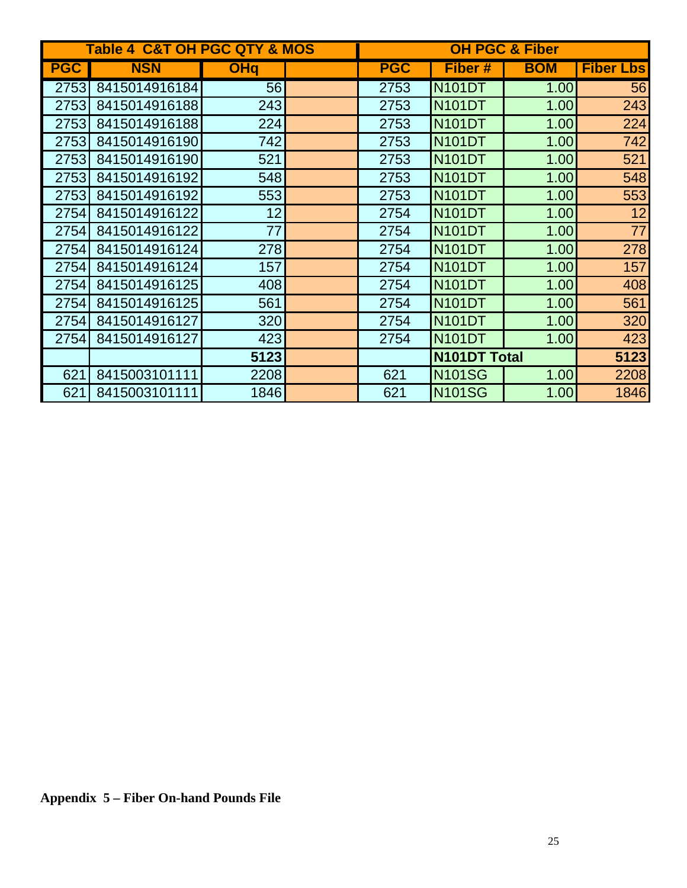|            | <b>Table 4 C&amp;T OH PGC QTY &amp; MOS</b> |            |            |                     | <b>OH PGC &amp; Fiber</b> |                  |
|------------|---------------------------------------------|------------|------------|---------------------|---------------------------|------------------|
| <b>PGC</b> | <b>NSN</b>                                  | <b>OHq</b> | <b>PGC</b> | Fiber #             | <b>BOM</b>                | <b>Fiber Lbs</b> |
| 2753       | 8415014916184                               | 56         | 2753       | <b>N101DT</b>       | 1.00                      | 56               |
| 2753       | 8415014916188                               | 243        | 2753       | <b>N101DT</b>       | 1.00                      | 243              |
| 2753       | 8415014916188                               | 224        | 2753       | <b>N101DT</b>       | 1.00                      | 224              |
| 2753       | 8415014916190                               | 742        | 2753       | <b>N101DT</b>       | 1.00                      | 742              |
| 2753       | 8415014916190                               | 521        | 2753       | <b>N101DT</b>       | 1.00                      | 521              |
| 2753       | 8415014916192                               | 548        | 2753       | <b>N101DT</b>       | 1.00                      | 548              |
| 2753       | 8415014916192                               | 553        | 2753       | <b>N101DT</b>       | 1.00                      | 553              |
| 2754       | 8415014916122                               | 12         | 2754       | <b>N101DT</b>       | 1.00                      | 12               |
| 2754       | 8415014916122                               | 77         | 2754       | <b>N101DT</b>       | 1.00                      | 77               |
| 2754       | 8415014916124                               | 278        | 2754       | <b>N101DT</b>       | 1.00                      | 278              |
| 2754       | 8415014916124                               | 157        | 2754       | <b>N101DT</b>       | 1.00                      | 157              |
| 2754       | 8415014916125                               | 408        | 2754       | <b>N101DT</b>       | 1.00                      | 408              |
| 2754       | 8415014916125                               | 561        | 2754       | <b>N101DT</b>       | 1.00                      | 561              |
| 2754       | 8415014916127                               | 320        | 2754       | <b>N101DT</b>       | 1.00                      | 320              |
| 2754       | 8415014916127                               | 423        | 2754       | <b>N101DT</b>       | 1.00                      | 423              |
|            |                                             | 5123       |            | <b>N101DT Total</b> | 5123                      |                  |
| 621        | 8415003101111                               | 2208       | 621        | <b>N101SG</b>       | 1.00                      | 2208             |
| 621        | 8415003101111                               | 1846       | 621        | <b>N101SG</b>       | 1.00                      | 1846             |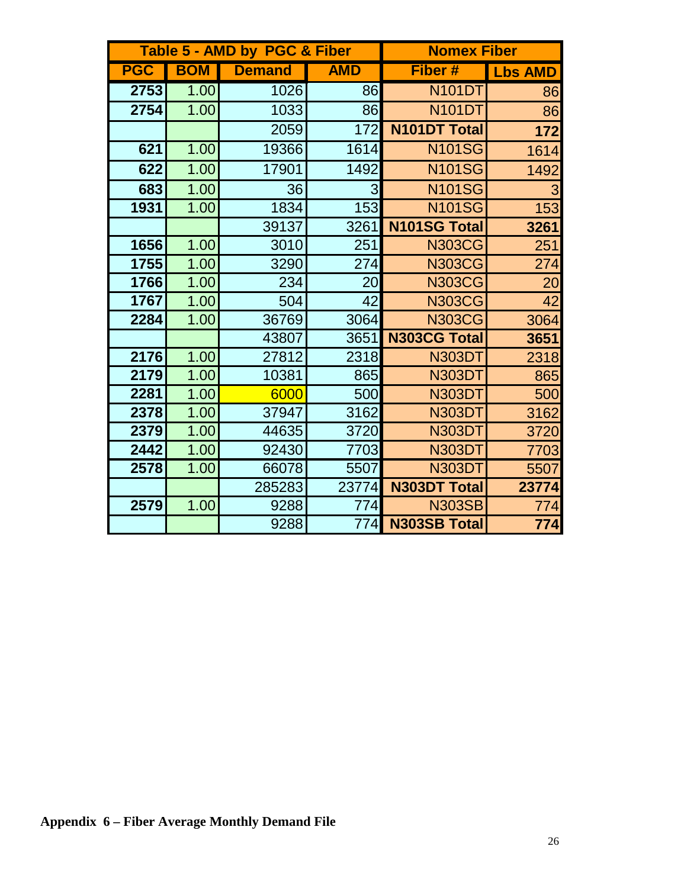|            |            | Table 5 - AMD by PGC & Fiber |            | <b>Nomex Fiber</b>  |                |
|------------|------------|------------------------------|------------|---------------------|----------------|
| <b>PGC</b> | <b>BOM</b> | <b>Demand</b>                | <b>AMD</b> | Fiber #             | <b>Lbs AMD</b> |
| 2753       | 1.00       | 1026                         | 86         | <b>N101DT</b>       | 86             |
| 2754       | 1.00       | 1033                         | 86         | <b>N101DT</b>       | 86             |
|            |            | 2059                         | 172        | <b>N101DT Total</b> | 172            |
| 621        | 1.00       | 19366                        | 1614       | <b>N101SG</b>       | 1614           |
| 622        | 1.00       | 17901                        | 1492       | <b>N101SG</b>       | 1492           |
| 683        | 1.00       | 36                           | 3          | <b>N101SG</b>       | 3              |
| 1931       | 1.00       | 1834                         | 153        | <b>N101SG</b>       | 153            |
|            |            | 39137                        | 3261       | <b>N101SG Total</b> | 3261           |
| 1656       | 1.00       | 3010                         | 251        | <b>N303CG</b>       | 251            |
| 1755       | 1.00       | 3290                         | 274        | <b>N303CG</b>       | 274            |
| 1766       | 1.00       | 234                          | 20         | <b>N303CG</b>       | 20             |
| 1767       | 1.00       | 504                          | 42         | <b>N303CG</b>       | 42             |
| 2284       | 1.00       | 36769                        | 3064       | <b>N303CG</b>       | 3064           |
|            |            | 43807                        | 3651       | <b>N303CG Total</b> | 3651           |
| 2176       | 1.00       | 27812                        | 2318       | <b>N303DT</b>       | 2318           |
| 2179       | 1.00       | 10381                        | 865        | <b>N303DT</b>       | 865            |
| 2281       | 1.00       | 6000                         | 500        | <b>N303DT</b>       | 500            |
| 2378       | 1.00       | 37947                        | 3162       | <b>N303DT</b>       | 3162           |
| 2379       | 1.00       | 44635                        | 3720       | <b>N303DT</b>       | 3720           |
| 2442       | 1.00       | 92430                        | 7703       | <b>N303DT</b>       | 7703           |
| 2578       | 1.00       | 66078                        | 5507       | <b>N303DT</b>       | 5507           |
|            |            | 285283                       | 23774      | <b>N303DT Total</b> | 23774          |
| 2579       | 1.00       | 9288                         | 774        | <b>N303SB</b>       | 774            |
|            |            | 9288                         | 774        | <b>N303SB Total</b> | 774            |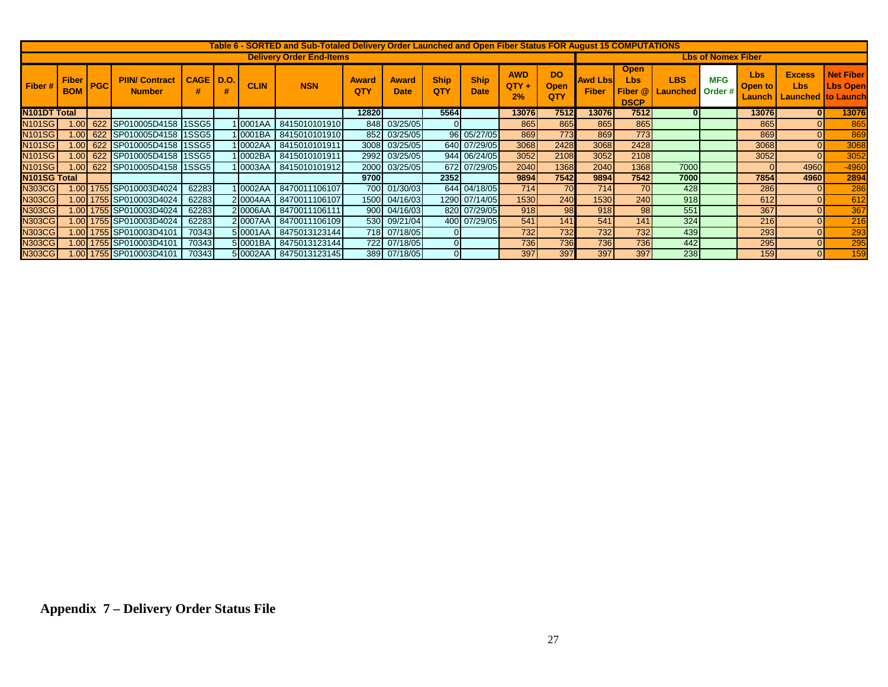|                           | Table 6 - SORTED and Sub-Totaled Delivery Order Launched and Open Fiber Status FOR August 15 COMPUTATIONS |            |                                        |             |      |             |                                 |                     |                             |                    |                            |                             |                                 |                                 |                                                     |                                       |            |                                   |                                                          |                                     |
|---------------------------|-----------------------------------------------------------------------------------------------------------|------------|----------------------------------------|-------------|------|-------------|---------------------------------|---------------------|-----------------------------|--------------------|----------------------------|-----------------------------|---------------------------------|---------------------------------|-----------------------------------------------------|---------------------------------------|------------|-----------------------------------|----------------------------------------------------------|-------------------------------------|
|                           |                                                                                                           |            |                                        |             |      |             | <b>Delivery Order End-Items</b> |                     |                             |                    |                            |                             |                                 | <b>Lbs of Nomex Fiber</b>       |                                                     |                                       |            |                                   |                                                          |                                     |
| Fiber#                    | <b>Fiber</b><br><b>BOM</b>                                                                                | <b>PGC</b> | <b>PIIN/ Contract</b><br><b>Number</b> | <b>CAGE</b> | D.O. | <b>CLIN</b> | <b>NSN</b>                      | <b>Award</b><br>QTY | <b>Award</b><br><b>Date</b> | <b>Ship</b><br>QTY | <b>Ship</b><br><b>Date</b> | <b>AWD</b><br>$QTY +$<br>2% | <b>DO</b><br><b>Open</b><br>QTY | <b>Awd Lbsl</b><br><b>Fiber</b> | <b>Open</b><br><b>Lbs</b><br>Fiber @<br><b>DSCP</b> | <b>LBS</b><br><b>Launched</b> Order # | <b>MFG</b> | <b>Lbs</b><br>Open to<br>Launch i | <b>Excess</b><br><b>Lbs</b><br><b>Launched to Launch</b> | <b>Net Fiber</b><br><b>Lbs Open</b> |
| <b>N101DT Total</b>       |                                                                                                           |            |                                        |             |      |             |                                 | 128201              |                             | 5564               |                            | 13076                       | 7512                            | 13076I                          | 7512                                                |                                       |            | 130761                            | $\mathbf{0}$                                             | 13076                               |
| <b>N101SG</b>             | 001                                                                                                       |            | 622 SP010005D4158 1SSG5                |             |      | 10001AA     | 8415010101910                   |                     | 848 03/25/05                |                    |                            | 865                         | 865                             | 865                             | 865                                                 |                                       |            | 865                               |                                                          | 865                                 |
| <b>N101SG</b>             |                                                                                                           |            | 1.00 622 SP010005D4158 1SSG5           |             |      | 1 0001BA    | 8415010101910                   |                     | 852 03/25/05                |                    | 96 05/27/05                | 869                         | 773                             | 869                             | 773                                                 |                                       |            | 869                               | $\overline{0}$                                           | 869                                 |
| <b>N101SG</b>             |                                                                                                           |            | 1.00 622 SP010005D4158 1SSG5           |             |      |             | 10002AA 3415010101911           |                     | 3008 03/25/05               |                    | 640 07/29/05               | 3068                        | 2428                            | 3068                            | 2428                                                |                                       |            | 3068                              | $\Omega$                                                 | 3068                                |
| <b>N101SG</b>             |                                                                                                           |            | 1.00 622 SP010005D4158 1SSG5           |             |      | 1 0002BA    | 8415010101911                   |                     | 2992 03/25/05               |                    | 944 06/24/05               | 3052                        | 2108                            | 3052                            | 2108                                                |                                       |            | 3052                              | $\Omega$                                                 | 3052                                |
| <b>N101SG</b>             |                                                                                                           |            | 1.00 622 SP010005D4158 1SSG5           |             |      | 1 0003AA    | 8415010101912                   |                     | 2000 03/25/05               |                    | 672 07/29/05               | 2040                        | 1368                            | 2040                            | 1368                                                | 7000                                  |            |                                   | 4960                                                     | $-4960$                             |
| N <sub>101</sub> SG Total |                                                                                                           |            |                                        |             |      |             |                                 | 9700l               |                             | 2352               |                            | 9894                        | 7542                            | 9894                            | 7542                                                | 7000                                  |            | 7854                              | 4960                                                     | 2894                                |
| <b>N303CG</b>             |                                                                                                           |            | 1.00 1755 SP010003D4024                | 62283       |      |             | 10002AA 8470011106107           |                     | 700 01/30/03                |                    | 644 04/18/05               | 714                         | 70                              | 714                             | 70                                                  | 428                                   |            | 286                               | $\Omega$                                                 | 286                                 |
| <b>N303CG</b>             |                                                                                                           |            | 1.00 1755 SP010003D4024                | 62283       |      | 2 0004AA    | 8470011106107                   |                     | 1500 04/16/03               |                    | 1290 07/14/05              | 1530                        | 240                             | 1530                            | 240 <b>1</b>                                        | 918                                   |            | 612                               | $\Omega$                                                 | 612                                 |
| <b>N303CG</b>             |                                                                                                           |            | 1.00 1755 SP010003D4024                | 62283       |      |             | 20006AA 8470011106111           |                     | 900 04/16/03                |                    | 820 07/29/05               | 918                         | 98                              | 918                             | 98                                                  | 551                                   |            | 367                               |                                                          | 367                                 |
| <b>N303CG</b>             |                                                                                                           |            | 1.00 1755 SP010003D4024                | 62283       |      | 20007AA     | 8470011106109                   |                     | 530 09/21/04                |                    | 400 07/29/05               | 541                         | 141                             | 541                             | 141                                                 | 324                                   |            | <b>216</b>                        | $\Omega$                                                 | 216                                 |
| <b>N303CG</b>             |                                                                                                           |            |                                        | 70343       |      | 5 0001AA    | 8475013123144                   |                     | 718 07/18/05                |                    |                            | 732                         | 732                             | 732                             | 732                                                 | 439                                   |            | 293                               | $\Omega$                                                 | 293                                 |
| <b>N303CG</b>             |                                                                                                           |            | 1.00 1755 SP010003D4101                | 70343       |      | 5 0001BA    | 8475013123144                   |                     | 722 07/18/05                | $\Omega$           |                            | 736                         | 736                             | 736                             | <b>7361</b>                                         | 442                                   |            | 295                               | $\Omega$                                                 | 295                                 |
| <b>N303CG</b>             |                                                                                                           |            |                                        | 70343       |      |             | 50002AA 8475013123145           |                     | 389 07/18/05                | $\overline{0}$     |                            | 397                         | 397                             | 397                             | 397                                                 | 238                                   |            | 159                               | $\Omega$                                                 | 159                                 |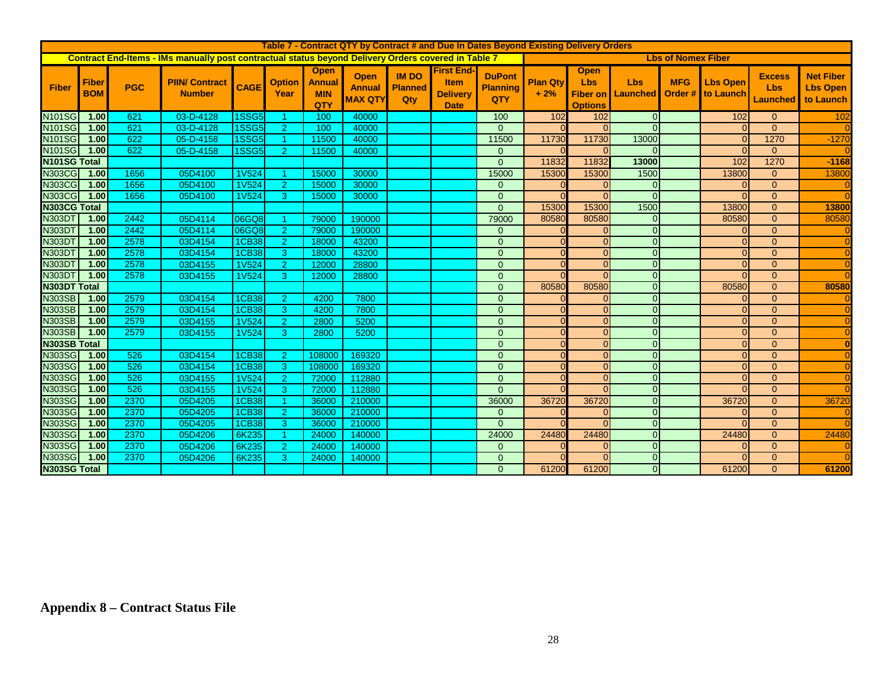|                                | Table 7 - Contract QTY by Contract # and Due In Dates Beyond Existing Delivery Orders |              |                                                                                                            |              |                       |                                                   |                                                |                                       |                                                                    |                                         |                          |                                             |                                          |                           |                                      |                                                |                                                  |
|--------------------------------|---------------------------------------------------------------------------------------|--------------|------------------------------------------------------------------------------------------------------------|--------------|-----------------------|---------------------------------------------------|------------------------------------------------|---------------------------------------|--------------------------------------------------------------------|-----------------------------------------|--------------------------|---------------------------------------------|------------------------------------------|---------------------------|--------------------------------------|------------------------------------------------|--------------------------------------------------|
|                                |                                                                                       |              | <b>Contract End-Items - IMs manually post contractual status beyond Delivery Orders covered in Table 7</b> |              |                       |                                                   |                                                |                                       |                                                                    |                                         |                          |                                             |                                          | <b>Lbs of Nomex Fiber</b> |                                      |                                                |                                                  |
| <b>Fiber</b>                   | <b>Fiber</b><br><b>BOM</b>                                                            | <b>PGC</b>   | <b>PIIN/ Contract</b><br><b>Number</b>                                                                     | <b>CAGE</b>  | <b>Option</b><br>Year | <b>Open</b><br><b>Annual</b><br><b>MIN</b><br>QTY | <b>Open</b><br><b>Annual</b><br><b>MAX QTY</b> | <b>IM DO</b><br><b>Planned</b><br>Qty | <b>First End-</b><br><b>Item</b><br><b>Delivery</b><br><b>Date</b> | <b>DuPont</b><br><b>Planning</b><br>QTY | <b>Plan Qty</b><br>$+2%$ | <b>Open</b><br><b>Lbs</b><br><b>Options</b> | <b>Lbs</b><br><b>Fiber on I Launched</b> | <b>MFG</b>                | <b>Lbs Open</b><br>Order # to Launch | <b>Excess</b><br><b>Lbs</b><br><b>Launched</b> | <b>Net Fiber</b><br><b>Lbs Open</b><br>to Launch |
| <b>N101SG</b>                  | 1.00                                                                                  | 621          | 03-D-4128                                                                                                  | 1SSG5        |                       | 100                                               | 40000                                          |                                       |                                                                    | 100                                     | 102                      | 102                                         | $\overline{0}$                           |                           | 102                                  | $\mathbf{0}$                                   | 102                                              |
| <b>N101SG</b>                  | 1.00                                                                                  | 621          | 03-D-4128                                                                                                  | <b>1SSG5</b> | $\overline{2}$        | 100                                               | 40000                                          |                                       |                                                                    | $\Omega$                                |                          | $\Omega$                                    | $\Omega$                                 |                           | $\Omega$                             | $\Omega$                                       |                                                  |
| <b>N101SG</b>                  | 1.00                                                                                  | 622          | 05-D-4158                                                                                                  | <b>1SSG5</b> |                       | 11500                                             | 40000                                          |                                       |                                                                    | 11500                                   | 11730                    | 11730                                       | 13000                                    |                           | $\Omega$                             | 1270                                           | $-1270$                                          |
| <b>N101SG</b>                  | 1.00                                                                                  | 622          | 05-D-4158                                                                                                  | <b>1SSG5</b> | $\overline{2}$        | 11500                                             | 40000                                          |                                       |                                                                    | $\overline{0}$                          |                          | <sup>n</sup>                                | $\Omega$                                 |                           | $\Omega$                             | $\Omega$                                       |                                                  |
| N101SG Total                   |                                                                                       |              |                                                                                                            |              |                       |                                                   |                                                |                                       |                                                                    | $\Omega$                                | 11832                    | 11832                                       | 13000                                    |                           | 102                                  | 1270                                           | $-1168$                                          |
| <b>N303CG</b>                  | 1.00                                                                                  | 1656         | 05D4100                                                                                                    | <b>1V524</b> |                       | 15000                                             | 30000                                          |                                       |                                                                    | 15000                                   | 15300                    | 15300                                       | 1500                                     |                           | 13800                                | $\mathbf{0}$                                   | 13800                                            |
| <b>N303CG</b>                  | 1.00                                                                                  | 1656         | 05D4100                                                                                                    | <b>1V524</b> | $\overline{2}$        | 15000                                             | 30000                                          |                                       |                                                                    | $\overline{0}$                          |                          |                                             | $\mathbf 0$                              |                           | $\Omega$                             | $\mathbf{0}$                                   |                                                  |
| <b>N303CG</b>                  | 1.00                                                                                  | 1656         | 05D4100                                                                                                    | <b>1V524</b> | 3                     | 15000                                             | 30000                                          |                                       |                                                                    | $\mathbf{0}$                            |                          | $\Omega$                                    | $\Omega$                                 |                           | $\Omega$                             | $\overline{0}$                                 |                                                  |
| N303CG Total                   |                                                                                       |              |                                                                                                            |              |                       |                                                   |                                                |                                       |                                                                    | $\Omega$                                | 15300                    | 15300                                       | 1500                                     |                           | 13800                                | $\overline{0}$                                 | 13800                                            |
| <b>N303DT</b>                  | 1.00                                                                                  | 2442         | 05D4114                                                                                                    | 06GQ8        | -1                    | 79000                                             | 190000                                         |                                       |                                                                    | 79000                                   | 80580                    | 80580                                       | $\mathbf{0}$                             |                           | 80580                                | $\overline{0}$                                 | 80580                                            |
| <b>N303D1</b>                  | 1.00                                                                                  | 2442         | 05D4114                                                                                                    | 06GQ8        | 2                     | 79000                                             | 190000                                         |                                       |                                                                    | $\mathbf{0}$                            |                          | $\Omega$                                    | $\mathbf{0}$                             |                           | $\Omega$                             | $\overline{0}$                                 |                                                  |
| <b>N303D1</b>                  | 1.00                                                                                  | 2578         | 03D4154                                                                                                    | <b>1CB38</b> | $\overline{2}$        | 18000                                             | 43200                                          |                                       |                                                                    | $\Omega$                                |                          | $\Omega$                                    | $\mathbf{0}$                             |                           | $\Omega$                             | $\Omega$                                       |                                                  |
| N303D1                         | 1.00                                                                                  | 2578         | 03D4154                                                                                                    | <b>1CB38</b> | 3                     | 18000                                             | 43200                                          |                                       |                                                                    | $\mathbf{0}$                            |                          | $\Omega$                                    | $\mathbf{0}$                             |                           | $\Omega$                             | $\overline{0}$                                 |                                                  |
| <b>N303DT</b>                  | 1.00                                                                                  | 2578         | 03D4155                                                                                                    | <b>1V524</b> | 2                     | 12000                                             | 28800                                          |                                       |                                                                    | $\mathbf{0}$                            |                          | $\Omega$                                    | $\mathbf{0}$                             |                           | $\Omega$                             | $\overline{0}$                                 |                                                  |
| N303D1                         | 1.00                                                                                  | 2578         | 03D4155                                                                                                    | <b>1V524</b> | 3                     | 12000                                             | 28800                                          |                                       |                                                                    | $\overline{0}$                          |                          | $\Omega$                                    | $\mathbf 0$                              |                           | $\Omega$                             | $\overline{0}$                                 |                                                  |
| <b>N303DT Total</b>            |                                                                                       |              |                                                                                                            |              |                       |                                                   |                                                |                                       |                                                                    | $\mathbf{0}$                            | 80580                    | 80580                                       | $\mathbf{0}$                             |                           | 80580                                | $\overline{0}$                                 | 80580                                            |
| <b>N303SB</b>                  | 1.00                                                                                  | 2579         | 03D4154                                                                                                    | <b>1CB38</b> | $\overline{2}$        | 4200                                              | 7800                                           |                                       |                                                                    | $\mathbf{0}$                            |                          | $\Omega$                                    | $\mathbf{0}$                             |                           | $\Omega$                             | $\overline{0}$                                 |                                                  |
| <b>N303SB</b>                  | 1.00                                                                                  | 2579         | 03D4154                                                                                                    | 1CB38        | 3                     | 4200                                              | 7800                                           |                                       |                                                                    | $\mathbf{0}$                            |                          | $\Omega$                                    | $\mathbf{0}$                             |                           | $\Omega$                             | $\overline{0}$                                 |                                                  |
| <b>N303SB</b>                  | 1.00                                                                                  | 2579         | 03D4155                                                                                                    | <b>1V524</b> | 2                     | 2800                                              | 5200                                           |                                       |                                                                    | $\overline{0}$                          |                          | $\Omega$                                    | $\mathbf{0}$                             |                           | $\Omega$                             | $\overline{0}$                                 |                                                  |
| <b>N303SB</b>                  | 1.00                                                                                  | 2579         | 03D4155                                                                                                    | <b>1V524</b> | 3                     | 2800                                              | 5200                                           |                                       |                                                                    | $\mathbf{0}$                            |                          | $\Omega$                                    | $\overline{0}$                           |                           | $\Omega$                             | $\overline{0}$                                 |                                                  |
| <b>N303SB Total</b>            |                                                                                       |              |                                                                                                            |              |                       |                                                   |                                                |                                       |                                                                    | $\mathbf{0}$                            |                          | $\Omega$                                    | $\overline{0}$                           |                           | $\Omega$                             | $\overline{0}$                                 |                                                  |
| <b>N303SG</b>                  | 1.00                                                                                  | 526          | 03D4154                                                                                                    | 1CB38        | $\overline{2}$        | 108000                                            | 169320                                         |                                       |                                                                    | $\mathbf{0}$                            |                          | $\Omega$                                    | $\mathbf{0}$                             |                           | $\Omega$                             | $\overline{0}$                                 |                                                  |
| <b>N303SG</b>                  | 1.00                                                                                  | 526          | 03D4154                                                                                                    | <b>1CB38</b> | 3                     | 108000                                            | 169320                                         |                                       |                                                                    | $\Omega$                                |                          | $\Omega$                                    | $\mathbf{0}$                             |                           | $\Omega$                             | $\overline{0}$                                 |                                                  |
| <b>N303SG</b>                  | 1.00                                                                                  | 526          | 03D4155                                                                                                    | <b>1V524</b> | $\overline{2}$        | 72000                                             | 112880                                         |                                       |                                                                    | $\mathbf{0}$                            |                          | $\Omega$                                    | $\mathbf{0}$                             |                           | $\Omega$                             | $\overline{0}$                                 |                                                  |
| <b>N303SG</b>                  | 1.00                                                                                  | 526          | 03D4155                                                                                                    | <b>1V524</b> | 3                     | 72000                                             | 112880                                         |                                       |                                                                    | $\Omega$                                |                          | $\Omega$                                    | $\mathbf{0}$                             |                           | $\Omega$                             | $\overline{0}$                                 |                                                  |
| <b>N303SG</b>                  | 1.00                                                                                  | 2370         | 05D4205                                                                                                    | 1CB38        | -1                    | 36000                                             | 210000                                         |                                       |                                                                    | 36000                                   | 36720                    | 36720                                       | $\mathbf{0}$                             |                           | 36720                                | $\overline{0}$                                 | 3672                                             |
| <b>N303SG</b>                  | 1.00                                                                                  | 2370         | 05D4205                                                                                                    | <b>1CB38</b> | 2                     | 36000                                             | 210000                                         |                                       |                                                                    | $\Omega$<br>$\Omega$                    |                          | $\Omega$<br>$\Omega$                        | $\Omega$<br>$\Omega$                     |                           | $\Omega$<br>$\Omega$                 | $\Omega$<br>$\Omega$                           |                                                  |
| <b>N303SG</b>                  | 1.00<br>1.00 <sub>l</sub>                                                             | 2370         | 05D4205                                                                                                    | <b>1CB38</b> | 3                     | 36000                                             | 210000                                         |                                       |                                                                    |                                         |                          |                                             | $\overline{0}$                           |                           |                                      | $\Omega$                                       |                                                  |
| <b>N303SG</b><br><b>N303SG</b> | 1.00                                                                                  | 2370<br>2370 | 05D4206                                                                                                    | 6K235        | $\blacktriangleleft$  | 24000                                             | 140000                                         |                                       |                                                                    | 24000                                   | 24480                    | 24480<br>$\Omega$                           | $\Omega$                                 |                           | 24480<br>$\Omega$                    | $\overline{0}$                                 | 24480                                            |
| <b>N303SG</b>                  | 1.00                                                                                  | 2370         | 05D4206                                                                                                    | 6K235        | $\overline{2}$        | 24000                                             | 140000                                         |                                       |                                                                    | $\overline{0}$                          |                          | $\Omega$                                    | $\Omega$                                 |                           | $\Omega$                             | $\Omega$                                       |                                                  |
|                                |                                                                                       |              | 05D4206                                                                                                    | 6K235        | 3                     | 24000                                             | 140000                                         |                                       |                                                                    | $\mathbf{0}$                            |                          |                                             |                                          |                           |                                      |                                                |                                                  |
| N303SG Total                   |                                                                                       |              |                                                                                                            |              |                       |                                                   |                                                |                                       |                                                                    | $\mathbf{0}$                            | 61200                    | 61200                                       | $\mathbf{0}$                             |                           | 61200                                | $\Omega$                                       | 61200                                            |

# **Appendix 8 – Contract Status File**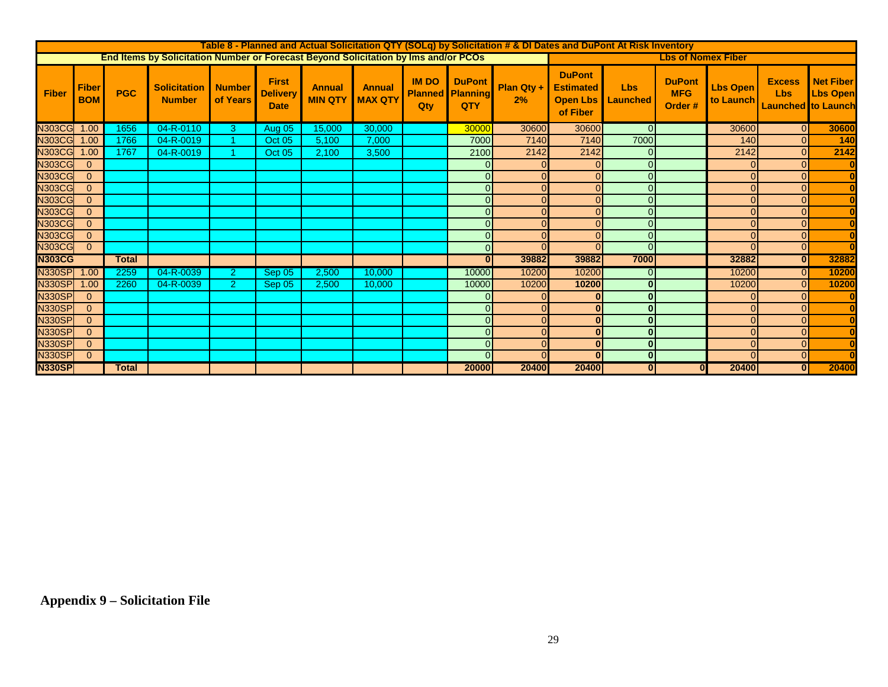|               | Table 8 - Planned and Actual Solicitation QTY (SOLq) by Solicitation # & DI Dates and DuPont At Risk Inventory |              |                                                                                     |                           |                                                |                                 |                                 |                     |                                                 |                  |                                                                  |                        |                                        |                              |                                                          |                                     |
|---------------|----------------------------------------------------------------------------------------------------------------|--------------|-------------------------------------------------------------------------------------|---------------------------|------------------------------------------------|---------------------------------|---------------------------------|---------------------|-------------------------------------------------|------------------|------------------------------------------------------------------|------------------------|----------------------------------------|------------------------------|----------------------------------------------------------|-------------------------------------|
|               |                                                                                                                |              | End Items by Solicitation Number or Forecast Beyond Solicitation by Ims and/or PCOs |                           |                                                |                                 |                                 |                     |                                                 |                  |                                                                  |                        | <b>Lbs of Nomex Fiber</b>              |                              |                                                          |                                     |
| <b>Fiber</b>  | Fiber<br><b>BOM</b>                                                                                            | <b>PGC</b>   | <b>Solicitation</b><br><b>Number</b>                                                | <b>Number</b><br>of Years | <b>First</b><br><b>Delivery</b><br><b>Date</b> | <b>Annual</b><br><b>MIN QTY</b> | <b>Annual</b><br><b>MAX QTY</b> | <b>IM DO</b><br>Qtv | <b>DuPont</b><br><b>Planned Planning</b><br>QTY | Plan Qty +<br>2% | <b>DuPont</b><br><b>Estimated</b><br><b>Open Lbs</b><br>of Fiber | <b>Lbs</b><br>Launched | <b>DuPont</b><br><b>MFG</b><br>Order # | <b>Lbs Open</b><br>to Launch | <b>Excess</b><br><b>Lbs</b><br><b>Launched</b> to Launch | <b>Net Fiber</b><br><b>Lbs Open</b> |
| <b>N303CG</b> | 1.00                                                                                                           | 1656         | 04-R-0110                                                                           | 3                         | Aug 05                                         | 15,000                          | 30,000                          |                     | 30000                                           | 30600            | 30600                                                            | $\Omega$               |                                        | 30600                        | $\overline{0}$                                           | 30600                               |
| <b>N303CG</b> | 1.00                                                                                                           | 1766         | 04-R-0019                                                                           |                           | Oct 05                                         | 5,100                           | 7,000                           |                     | 7000                                            | 7140             | 7140                                                             | 7000                   |                                        | 140                          | $\Omega$                                                 | 140                                 |
| <b>N303CG</b> | 1.00                                                                                                           | 1767         | 04-R-0019                                                                           |                           | Oct 05                                         | 2,100                           | 3,500                           |                     | 2100                                            | 2142             | 2142                                                             | O                      |                                        | 2142                         | $\Omega$                                                 | 2142                                |
| <b>N303CG</b> | $\overline{0}$                                                                                                 |              |                                                                                     |                           |                                                |                                 |                                 |                     | $\Omega$                                        |                  | $\Omega$                                                         | $\Omega$               |                                        |                              | $\overline{0}$                                           |                                     |
| <b>N303CG</b> | $\overline{0}$                                                                                                 |              |                                                                                     |                           |                                                |                                 |                                 |                     | $\Omega$                                        |                  | $\Omega$                                                         | $\Omega$               |                                        |                              | $\Omega$                                                 |                                     |
| <b>N303CG</b> | $\overline{0}$                                                                                                 |              |                                                                                     |                           |                                                |                                 |                                 |                     | $\Omega$                                        |                  | $\Omega$                                                         | $\Omega$               |                                        |                              | $\Omega$                                                 |                                     |
| <b>N303CG</b> | $\overline{0}$                                                                                                 |              |                                                                                     |                           |                                                |                                 |                                 |                     | $\Omega$                                        | $\Omega$         | $\Omega$                                                         | $\Omega$               |                                        |                              | $\Omega$                                                 |                                     |
| <b>N303CG</b> | $\overline{0}$                                                                                                 |              |                                                                                     |                           |                                                |                                 |                                 |                     | $\overline{0}$                                  |                  | $\Omega$                                                         | $\Omega$               |                                        |                              | $\overline{0}$                                           |                                     |
| <b>N303CG</b> | $\overline{0}$                                                                                                 |              |                                                                                     |                           |                                                |                                 |                                 |                     | $\Omega$                                        |                  | $\Omega$                                                         | $\Omega$               |                                        |                              | $\Omega$                                                 |                                     |
| <b>N303CG</b> | $\overline{0}$                                                                                                 |              |                                                                                     |                           |                                                |                                 |                                 |                     | $\overline{0}$                                  |                  | $\Omega$                                                         | $\Omega$               |                                        |                              | $\Omega$                                                 |                                     |
| <b>N303CG</b> | $\overline{0}$                                                                                                 |              |                                                                                     |                           |                                                |                                 |                                 |                     | $\Omega$                                        |                  | $\Omega$                                                         | $\overline{O}$         |                                        |                              | $\overline{0}$                                           |                                     |
| <b>N303CG</b> |                                                                                                                | <b>Total</b> |                                                                                     |                           |                                                |                                 |                                 |                     | 0                                               | 39882            | 39882                                                            | 7000                   |                                        | 32882                        | $\overline{0}$                                           | 32882                               |
| <b>N330SP</b> | 1.00                                                                                                           | 2259         | 04-R-0039                                                                           | $\overline{2}$            | Sep 05                                         | 2,500                           | 10,000                          |                     | 10000                                           | 10200            | 10200                                                            | $\overline{0}$         |                                        | 10200                        | $\overline{0}$                                           | 10200                               |
| <b>N330SP</b> | 1.00                                                                                                           | 2260         | 04-R-0039                                                                           | $\overline{2}$            | Sep 05                                         | 2.500                           | 10,000                          |                     | 10000                                           | 10200            | 10200                                                            | $\mathbf{0}$           |                                        | 10200                        | $\Omega$                                                 | 10200                               |
| <b>N330SP</b> | $\overline{0}$                                                                                                 |              |                                                                                     |                           |                                                |                                 |                                 |                     | $\Omega$                                        |                  | $\bf{0}$                                                         | $\mathbf{0}$           |                                        |                              | $\Omega$                                                 |                                     |
| <b>N330SP</b> | $\overline{0}$                                                                                                 |              |                                                                                     |                           |                                                |                                 |                                 |                     | $\overline{0}$                                  |                  | $\bf{0}$                                                         | $\mathbf{0}$           |                                        |                              | $\Omega$                                                 |                                     |
| <b>N330SP</b> | $\mathbf{0}$                                                                                                   |              |                                                                                     |                           |                                                |                                 |                                 |                     | $\overline{0}$                                  |                  | $\bf{0}$                                                         | $\mathbf{0}$           |                                        |                              | $\Omega$                                                 |                                     |
| <b>N330SP</b> | $\overline{0}$                                                                                                 |              |                                                                                     |                           |                                                |                                 |                                 |                     | $\Omega$                                        |                  | $\bf{0}$                                                         | $\mathbf{0}$           |                                        |                              | $\Omega$                                                 |                                     |
| <b>N330SP</b> | $\overline{0}$                                                                                                 |              |                                                                                     |                           |                                                |                                 |                                 |                     | $\overline{0}$                                  | $\Omega$         | $\mathbf{0}$                                                     | $\overline{0}$         |                                        | $\Omega$                     | $\overline{0}$                                           |                                     |
| <b>N330SP</b> | $\mathbf{0}$                                                                                                   |              |                                                                                     |                           |                                                |                                 |                                 |                     | $\overline{0}$                                  |                  | $\bf{0}$                                                         | $\overline{0}$         |                                        | $\Omega$                     | $\overline{0}$                                           |                                     |
| <b>N330SP</b> |                                                                                                                | <b>Total</b> |                                                                                     |                           |                                                |                                 |                                 |                     | 20000                                           | 20400            | 20400                                                            | $\overline{0}$         | $\mathbf{0}$                           | 20400                        | 0                                                        | 20400                               |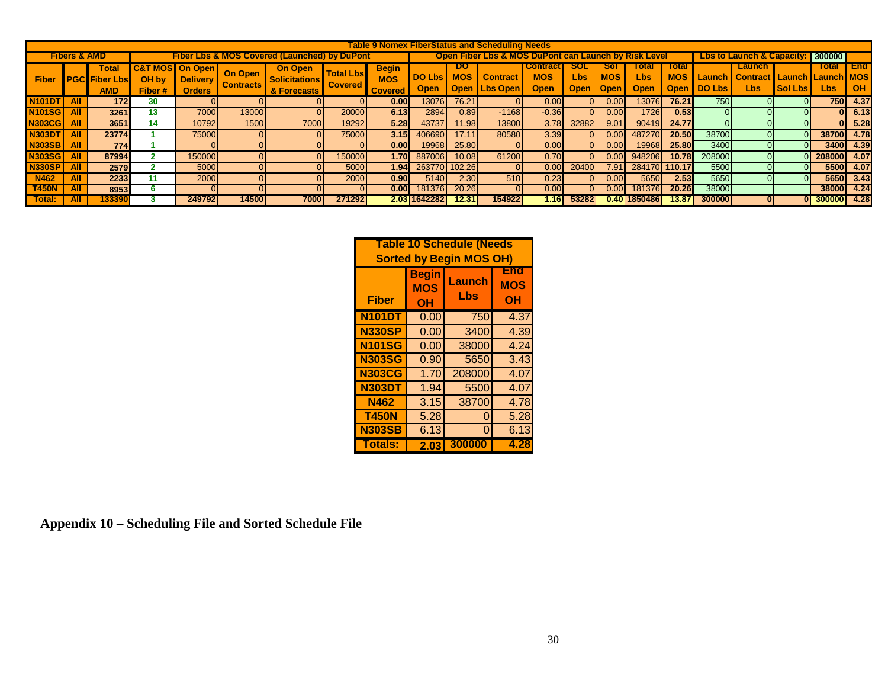| Table 9 Nomex FiberStatus and Scheduling Needs                                     |            |                                                    |                         |                                                  |                                                      |                                                |                                    |                                              |                              |                                 |                                      |                                              |                |                    |                      |                                    |               |                                                                   |                |               |                         |
|------------------------------------------------------------------------------------|------------|----------------------------------------------------|-------------------------|--------------------------------------------------|------------------------------------------------------|------------------------------------------------|------------------------------------|----------------------------------------------|------------------------------|---------------------------------|--------------------------------------|----------------------------------------------|----------------|--------------------|----------------------|------------------------------------|---------------|-------------------------------------------------------------------|----------------|---------------|-------------------------|
| <b>Fibers &amp; AMD</b><br><b>Fiber Lbs &amp; MOS Covered (Launched) by DuPont</b> |            |                                                    |                         |                                                  | Open Fiber Lbs & MOS DuPont can Launch by Risk Level |                                                |                                    |                                              |                              |                                 | <b>Lbs to Launch &amp; Capacity:</b> |                                              |                | <b>300000</b>      |                      |                                    |               |                                                                   |                |               |                         |
| <b>Fiber</b>                                                                       |            | <b>Total</b><br><b>PGC Fiber Lbs</b><br><b>AMD</b> | C&T<br>OH by<br>Fiber # | MOSI On Open<br><b>Delivery</b><br><b>Orders</b> | <b>On Open</b><br><b>Contracts</b>                   | On Open<br><b>Solicitations</b><br>& Forecasts | <b>Total Lbs</b><br><b>Covered</b> | <b>Begin</b><br><b>MOS</b><br><b>Covered</b> | <b>DO Lbs</b><br><b>Open</b> | υu<br><b>MOS</b><br><b>Open</b> | <b>Contract</b><br><b>Lbs Open</b>   | <b>Contract</b><br><b>MOS</b><br><b>Open</b> | Lbs<br>Open    | <b>MOS</b><br>Open | Total<br>Lbs<br>Open | Total<br><b>MOS</b><br><b>Open</b> | <b>DO Lbs</b> | Launch<br><b>Launch   Contract   Launch   Launch   MOS</b><br>Lbs | <b>Sol Lbs</b> | Total<br>Lbs  | <b>End</b><br><b>OH</b> |
| <b>N101DT</b>                                                                      | <b>All</b> | 172.                                               | 30                      | ΟI                                               |                                                      |                                                |                                    | 0.00 <sub>l</sub>                            | 13076                        | 76.21                           |                                      | 0.00                                         | ΟL             | 0.00               | 13076                | 76.21                              | <b>750</b>    |                                                                   |                | 750           | 4.37                    |
| <b>N101SG</b>                                                                      | All        | 3261                                               | 13                      | 7000                                             | 13000                                                |                                                | 20000                              | 6.13                                         | 2894                         | 0.89                            | $-1168$                              | $-0.36$                                      | ΩL             | 0.00               | 1726                 | 0.53                               |               |                                                                   |                |               | 6.13                    |
| <b>N303CG</b>                                                                      | <b>All</b> | 3651                                               | 14                      | 10792                                            | 1500                                                 | 7000                                           | 19292                              | 5.28                                         | 43737                        | 11.98                           | 13800                                | 3.78                                         | 32882          | 9.01               | 90419                | 24.77                              |               |                                                                   |                |               | 5.28                    |
| <b>N303DT</b>                                                                      | <b>All</b> | 23774                                              |                         | 75000                                            |                                                      |                                                | 75000                              | 3.15                                         | 406690                       | 17.11                           | 80580                                | 3.39                                         | ΩL             | 0.00               | 487270               | 20.50                              | 38700         |                                                                   |                | 38700         | 4.78                    |
| <b>N303SB</b>                                                                      | <b>All</b> | 774                                                |                         | ΟI                                               |                                                      |                                                |                                    | 0.00 <sub>l</sub>                            | 19968                        | 25.80                           |                                      | 0.00                                         | $\overline{0}$ | 0.00               | 19968                | 25.80                              | 3400          |                                                                   |                |               | 3400 4.39               |
| <b>N303SG</b>                                                                      | All        | 87994                                              |                         | 150000                                           |                                                      |                                                | 150000                             | 1.70I                                        | 887006                       | 10.08                           | 61200                                | 0.70                                         | $\Omega$       | 0.00               | 948206               | 10.78                              | 208000        |                                                                   |                | 208000 4.07   |                         |
| <b>N330SP</b>                                                                      | <b>All</b> | 2579                                               |                         | 5000                                             |                                                      |                                                | 5000                               | 1.94 <sub>l</sub>                            |                              | 263770 102.26                   |                                      | 0.00                                         | 20400          | 7.91               | 284170               | 110.17                             | 5500          |                                                                   |                |               | 5500 4.07               |
| N462                                                                               | All        | 2233                                               | 11                      | 2000                                             |                                                      |                                                | 2000                               | 0.90 <sub>l</sub>                            | 5140                         | 2.30                            | 510 <b>1</b>                         | 0.23                                         | ΟL             | 0.00               | 5650                 | 2.53                               | 5650          |                                                                   |                |               | 5650 3.43               |
| <b>T450N</b>                                                                       | <b>All</b> | 8953                                               |                         | $\Omega$                                         |                                                      |                                                |                                    | 0.00 <sub>l</sub>                            | 181376                       | 20.26                           |                                      | 0.00                                         | ΩL             | 0.00               | 181376               | 20.26                              | 38000         |                                                                   |                |               | 38000 4.24              |
| Total:                                                                             | All        | 133390                                             |                         | 2497921                                          | 145001                                               | 7000                                           | 271292                             |                                              | 2.03 1642282                 | 12.31                           | 154922                               | 1.16I                                        | 532821         |                    | 0.40118504861        | 13.87                              | 3000001       |                                                                   |                | 0 300000 4.28 |                         |

| <b>Table 10 Schedule (Needs</b><br><b>Sorted by Begin MOS OH)</b> |                                  |               |                         |  |  |  |  |
|-------------------------------------------------------------------|----------------------------------|---------------|-------------------------|--|--|--|--|
| <b>Fiber</b>                                                      | <b>Begin</b><br><b>MOS</b><br>OH | Launch<br>Lbs | End<br><b>MOS</b><br>OH |  |  |  |  |
| <b>N101DT</b>                                                     | 0.00                             | 750           | 4.37                    |  |  |  |  |
| <b>N330SP</b>                                                     | 0.00                             | 3400          | 4.39                    |  |  |  |  |
| <b>N101SG</b>                                                     | 0.00                             | 38000         | 4.24                    |  |  |  |  |
| <b>N303SG</b>                                                     | 0.90                             | 5650          | 3.43                    |  |  |  |  |
| <b>N303CG</b>                                                     | 1.70                             | 208000        | 4.07                    |  |  |  |  |
| <b>N303DT</b>                                                     | 1.94                             | 5500          | 4.07                    |  |  |  |  |
| <b>N462</b>                                                       | 3.15                             | 38700         | 4.78                    |  |  |  |  |
| <b>T450N</b>                                                      | 5.28                             | Ω             | 5.28                    |  |  |  |  |
| <b>N303SB</b>                                                     | 6.13                             | 0             | 6.13                    |  |  |  |  |
| <b>Totals:</b>                                                    | 2.03                             | 300000        | 4.28                    |  |  |  |  |

**Appendix 10 – Scheduling File and Sorted Schedule File**